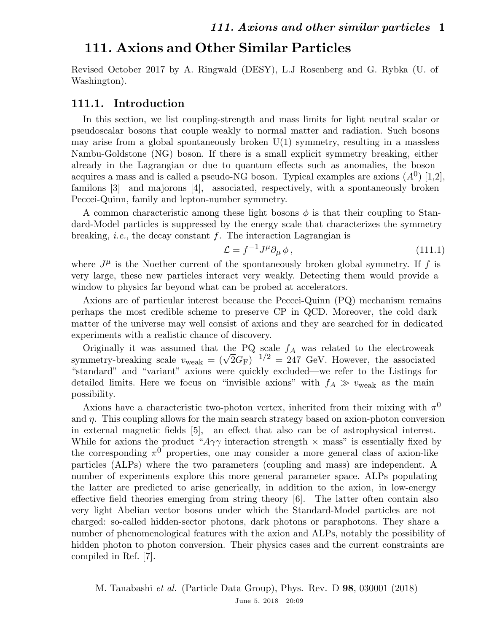Revised October 2017 by A. Ringwald (DESY), L.J Rosenberg and G. Rybka (U. of Washington).

#### 111.1. Introduction

In this section, we list coupling-strength and mass limits for light neutral scalar or pseudoscalar bosons that couple weakly to normal matter and radiation. Such bosons may arise from a global spontaneously broken  $U(1)$  symmetry, resulting in a massless Nambu-Goldstone (NG) boson. If there is a small explicit symmetry breaking, either already in the Lagrangian or due to quantum effects such as anomalies, the boson acquires a mass and is called a pseudo-NG boson. Typical examples are axions  $(A^0)$  [1,2], familons [3] and majorons [4], associated, respectively, with a spontaneously broken Peccei-Quinn, family and lepton-number symmetry.

A common characteristic among these light bosons  $\phi$  is that their coupling to Standard-Model particles is suppressed by the energy scale that characterizes the symmetry breaking, *i.e.*, the decay constant  $f$ . The interaction Lagrangian is

$$
\mathcal{L} = f^{-1} J^{\mu} \partial_{\mu} \phi , \qquad (111.1)
$$

where  $J^{\mu}$  is the Noether current of the spontaneously broken global symmetry. If f is very large, these new particles interact very weakly. Detecting them would provide a window to physics far beyond what can be probed at accelerators.

Axions are of particular interest because the Peccei-Quinn (PQ) mechanism remains perhaps the most credible scheme to preserve CP in QCD. Moreover, the cold dark matter of the universe may well consist of axions and they are searched for in dedicated experiments with a realistic chance of discovery.

Originally it was assumed that the PQ scale  $f_A$  was related to the electroweak symmetry-breaking scale  $v_{\text{weak}} = (\sqrt{2}G_F)^{-1/2} = 247 \text{ GeV}$ . However, the associated "standard" and "variant" axions were quickly excluded—we refer to the Listings for detailed limits. Here we focus on "invisible axions" with  $f_A \gg v_{\text{weak}}$  as the main possibility.

Axions have a characteristic two-photon vertex, inherited from their mixing with  $\pi^0$ and  $\eta$ . This coupling allows for the main search strategy based on axion-photon conversion in external magnetic fields [5], an effect that also can be of astrophysical interest. While for axions the product " $A\gamma\gamma$  interaction strength  $\times$  mass" is essentially fixed by the corresponding  $\pi^0$  properties, one may consider a more general class of axion-like particles (ALPs) where the two parameters (coupling and mass) are independent. A number of experiments explore this more general parameter space. ALPs populating the latter are predicted to arise generically, in addition to the axion, in low-energy effective field theories emerging from string theory [6]. The latter often contain also very light Abelian vector bosons under which the Standard-Model particles are not charged: so-called hidden-sector photons, dark photons or paraphotons. They share a number of phenomenological features with the axion and ALPs, notably the possibility of hidden photon to photon conversion. Their physics cases and the current constraints are compiled in Ref. [7].

M. Tanabashi et al. (Particle Data Group), Phys. Rev. D 98, 030001 (2018) June 5, 2018 20:09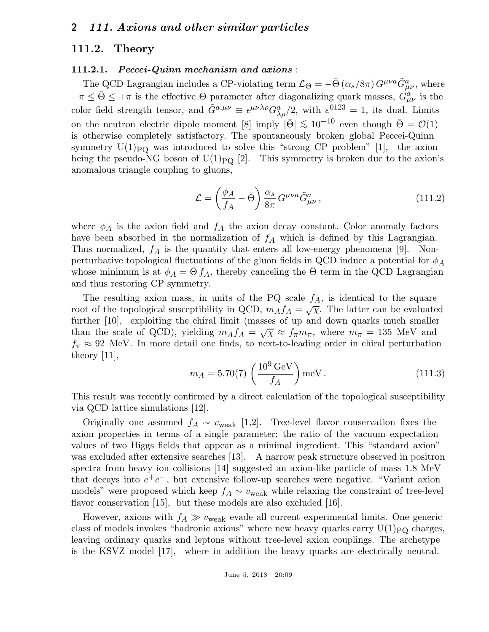### 111.2. Theory

#### 111.2.1. Peccei-Quinn mechanism and axions :

The QCD Lagrangian includes a CP-violating term  $\mathcal{L}_{\Theta} = -\bar{\Theta} (\alpha_s/8\pi) G^{\mu\nu a} \tilde{G}^a_{\mu\nu}$ , where  $-\pi \leq \bar{\Theta} \leq +\pi$  is the effective  $\Theta$  parameter after diagonalizing quark masses,  $G_{\mu\nu}^a$  is the color field strength tensor, and  $\tilde{G}^{a,\mu\nu} \equiv \epsilon^{\mu\nu\lambda\rho} G^a_{\lambda\rho}/2$ , with  $\varepsilon^{0123} = 1$ , its dual. Limits on the neutron electric dipole moment [8] imply  $|\bar{\Theta}| \lesssim 10^{-10}$  even though  $\bar{\Theta} = \mathcal{O}(1)$ is otherwise completely satisfactory. The spontaneously broken global Peccei-Quinn symmetry  $U(1)_{PQ}$  was introduced to solve this "strong CP problem" [1], the axion being the pseudo-NG boson of  $U(1)_{PQ}$  [2]. This symmetry is broken due to the axion's anomalous triangle coupling to gluons,

$$
\mathcal{L} = \left(\frac{\phi_A}{f_A} - \bar{\Theta}\right) \frac{\alpha_s}{8\pi} G^{\mu\nu a} \tilde{G}^a_{\mu\nu},\qquad(111.2)
$$

where  $\phi_A$  is the axion field and  $f_A$  the axion decay constant. Color anomaly factors have been absorbed in the normalization of  $f_A$  which is defined by this Lagrangian. Thus normalized,  $f_A$  is the quantity that enters all low-energy phenomena [9]. Nonperturbative topological fluctuations of the gluon fields in QCD induce a potential for  $\phi_A$ whose minimum is at  $\phi_A = \Theta f_A$ , thereby canceling the  $\Theta$  term in the QCD Lagrangian and thus restoring CP symmetry.

The resulting axion mass, in units of the PQ scale  $f_A$ , is identical to the square root of the topological susceptibility in QCD,  $m_A f_A = \sqrt{\chi}$ . The latter can be evaluated further [10], exploiting the chiral limit (masses of up and down quarks much smaller than the scale of QCD), yielding  $m_A f_A = \sqrt{\chi} \approx f_\pi m_\pi$ , where  $m_\pi = 135$  MeV and  $f_{\pi} \approx 92$  MeV. In more detail one finds, to next-to-leading order in chiral perturbation theory [11],

$$
m_A = 5.70(7) \left(\frac{10^9 \,\text{GeV}}{f_A}\right) \text{meV} \,. \tag{111.3}
$$

This result was recently confirmed by a direct calculation of the topological susceptibility via QCD lattice simulations [12].

Originally one assumed  $f_A \sim v_{\text{weak}}$  [1,2]. Tree-level flavor conservation fixes the axion properties in terms of a single parameter: the ratio of the vacuum expectation values of two Higgs fields that appear as a minimal ingredient. This "standard axion" was excluded after extensive searches [13]. A narrow peak structure observed in positron spectra from heavy ion collisions [14] suggested an axion-like particle of mass 1.8 MeV that decays into  $e^+e^-$ , but extensive follow-up searches were negative. "Variant axion models" were proposed which keep  $f_A \sim v_{\text{weak}}$  while relaxing the constraint of tree-level flavor conservation [15], but these models are also excluded [16].

However, axions with  $f_A \gg v_{\text{weak}}$  evade all current experimental limits. One generic class of models invokes "hadronic axions" where new heavy quarks carry  $U(1)_{\text{PO}}$  charges, leaving ordinary quarks and leptons without tree-level axion couplings. The archetype is the KSVZ model [17], where in addition the heavy quarks are electrically neutral.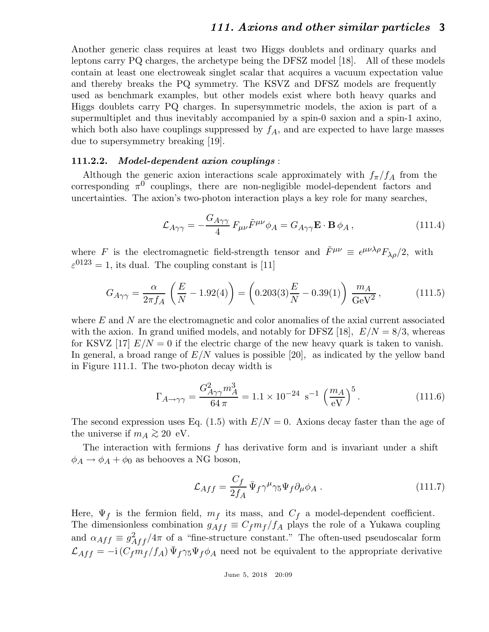Another generic class requires at least two Higgs doublets and ordinary quarks and leptons carry PQ charges, the archetype being the DFSZ model [18]. All of these models contain at least one electroweak singlet scalar that acquires a vacuum expectation value and thereby breaks the PQ symmetry. The KSVZ and DFSZ models are frequently used as benchmark examples, but other models exist where both heavy quarks and Higgs doublets carry PQ charges. In supersymmetric models, the axion is part of a supermultiplet and thus inevitably accompanied by a spin-0 saxion and a spin-1 axino, which both also have couplings suppressed by  $f_A$ , and are expected to have large masses due to supersymmetry breaking [19].

#### 111.2.2. Model-dependent axion couplings :

Although the generic axion interactions scale approximately with  $f_{\pi}/f_A$  from the corresponding  $\pi^0$  couplings, there are non-negligible model-dependent factors and uncertainties. The axion's two-photon interaction plays a key role for many searches,

$$
\mathcal{L}_{A\gamma\gamma} = -\frac{G_{A\gamma\gamma}}{4} F_{\mu\nu} \tilde{F}^{\mu\nu} \phi_A = G_{A\gamma\gamma} \mathbf{E} \cdot \mathbf{B} \phi_A , \qquad (111.4)
$$

where F is the electromagnetic field-strength tensor and  $\tilde{F}^{\mu\nu} \equiv \epsilon^{\mu\nu\lambda\rho} F_{\lambda\rho}/2$ , with  $\varepsilon^{0123} = 1$ , its dual. The coupling constant is [11]

$$
G_{A\gamma\gamma} = \frac{\alpha}{2\pi f_A} \left( \frac{E}{N} - 1.92(4) \right) = \left( 0.203(3) \frac{E}{N} - 0.39(1) \right) \frac{m_A}{\text{GeV}^2},\tag{111.5}
$$

where E and N are the electromagnetic and color anomalies of the axial current associated with the axion. In grand unified models, and notably for DFSZ [18],  $E/N = 8/3$ , whereas for KSVZ [17]  $E/N = 0$  if the electric charge of the new heavy quark is taken to vanish. In general, a broad range of  $E/N$  values is possible [20], as indicated by the yellow band in Figure 111.1. The two-photon decay width is

$$
\Gamma_{A \to \gamma\gamma} = \frac{G_{A\gamma\gamma}^2 m_A^3}{64 \pi} = 1.1 \times 10^{-24} \text{ s}^{-1} \left(\frac{m_A}{\text{eV}}\right)^5. \tag{111.6}
$$

The second expression uses Eq. (1.5) with  $E/N = 0$ . Axions decay faster than the age of the universe if  $m_A \gtrsim 20$  eV.

The interaction with fermions  $f$  has derivative form and is invariant under a shift  $\phi_A \rightarrow \phi_A + \phi_0$  as behooves a NG boson,

$$
\mathcal{L}_{Aff} = \frac{C_f}{2f_A} \bar{\Psi}_f \gamma^\mu \gamma_5 \Psi_f \partial_\mu \phi_A . \qquad (111.7)
$$

Here,  $\Psi_f$  is the fermion field,  $m_f$  its mass, and  $C_f$  a model-dependent coefficient. The dimensionless combination  $g_{Aff} \equiv C_f m_f/f_A$  plays the role of a Yukawa coupling and  $\alpha_{Aff} \equiv g_{Aff}^2/4\pi$  of a "fine-structure constant." The often-used pseudoscalar form  $\mathcal{L}_{Aff} = -i (C_f m_f/f_A) \bar{\Psi}_f \gamma_5 \Psi_f \phi_A$  need not be equivalent to the appropriate derivative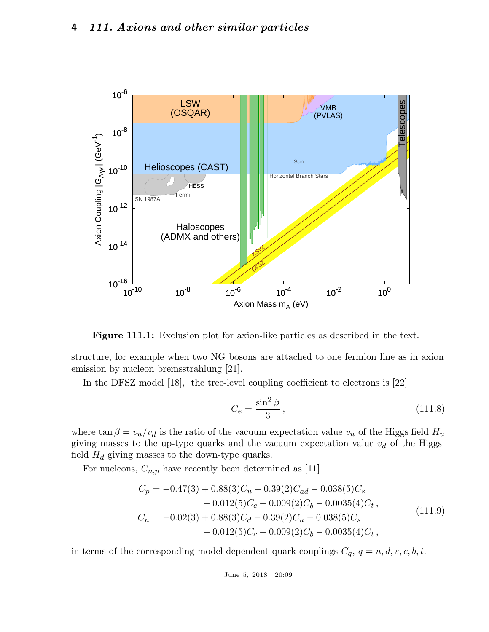

Figure 111.1: Exclusion plot for axion-like particles as described in the text.

structure, for example when two NG bosons are attached to one fermion line as in axion emission by nucleon bremsstrahlung [21].

In the DFSZ model [18], the tree-level coupling coefficient to electrons is [22]

$$
C_e = \frac{\sin^2 \beta}{3},\tag{111.8}
$$

where  $\tan \beta = v_u/v_d$  is the ratio of the vacuum expectation value  $v_u$  of the Higgs field  $H_u$ giving masses to the up-type quarks and the vacuum expectation value  $v_d$  of the Higgs field  $H_d$  giving masses to the down-type quarks.

For nucleons,  $C_{n,p}$  have recently been determined as  $\left[ 11\right]$ 

$$
C_p = -0.47(3) + 0.88(3)C_u - 0.39(2)C_{ad} - 0.038(5)C_s
$$
  
\n
$$
- 0.012(5)C_c - 0.009(2)C_b - 0.0035(4)C_t,
$$
  
\n
$$
C_n = -0.02(3) + 0.88(3)C_d - 0.39(2)C_u - 0.038(5)C_s
$$
  
\n
$$
- 0.012(5)C_c - 0.009(2)C_b - 0.0035(4)C_t,
$$
\n(111.9)

in terms of the corresponding model-dependent quark couplings  $C_q$ ,  $q = u, d, s, c, b, t$ .

June 5, 2018 20:09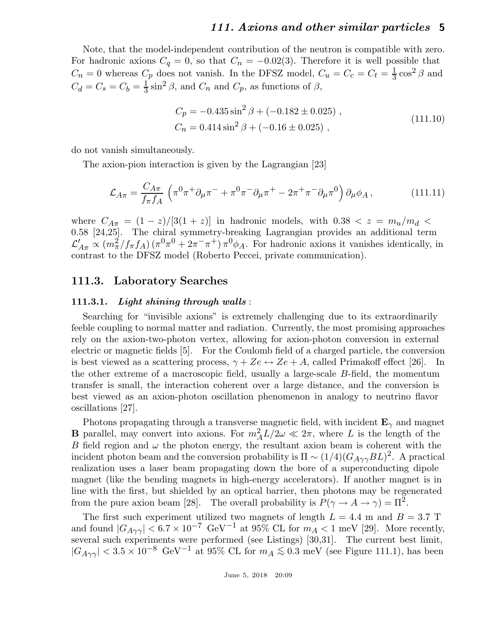Note, that the model-independent contribution of the neutron is compatible with zero. For hadronic axions  $C_q = 0$ , so that  $C_n = -0.02(3)$ . Therefore it is well possible that  $C_n = 0$  whereas  $C_p$  does not vanish. In the DFSZ model,  $C_u = C_c = C_t = \frac{1}{3}$  $\frac{1}{3}\cos^2\beta$  and  $C_d = C_s = C_b = \frac{1}{3}$  $\frac{1}{3}\sin^2\beta$ , and  $C_n$  and  $C_p$ , as functions of  $\beta$ ,

$$
C_p = -0.435 \sin^2 \beta + (-0.182 \pm 0.025) ,
$$
  
\n
$$
C_n = 0.414 \sin^2 \beta + (-0.16 \pm 0.025) ,
$$
\n(111.10)

do not vanish simultaneously.

The axion-pion interaction is given by the Lagrangian [23]

$$
\mathcal{L}_{A\pi} = \frac{C_{A\pi}}{f_{\pi}f_A} \left( \pi^0 \pi^+ \partial_{\mu} \pi^- + \pi^0 \pi^- \partial_{\mu} \pi^+ - 2\pi^+ \pi^- \partial_{\mu} \pi^0 \right) \partial_{\mu} \phi_A , \qquad (111.11)
$$

where  $C_{A\pi} = (1-z)/[3(1+z)]$  in hadronic models, with  $0.38 < z = m_u/m_d$ 0.58 [24,25]. The chiral symmetry-breaking Lagrangian provides an additional term  $\mathcal{L}'_{A\pi} \propto (m_{\pi}^2/f_{\pi}f_A)(\pi^0\pi^0 + 2\pi^-\pi^+) \pi^0\phi_A$ . For hadronic axions it vanishes identically, in contrast to the DFSZ model (Roberto Peccei, private communication).

### 111.3. Laboratory Searches

#### 111.3.1. Light shining through walls:

Searching for "invisible axions" is extremely challenging due to its extraordinarily feeble coupling to normal matter and radiation. Currently, the most promising approaches rely on the axion-two-photon vertex, allowing for axion-photon conversion in external electric or magnetic fields [5]. For the Coulomb field of a charged particle, the conversion is best viewed as a scattering process,  $\gamma + Ze \leftrightarrow Ze + A$ , called Primakoff effect [26]. In the other extreme of a macroscopic field, usually a large-scale B-field, the momentum transfer is small, the interaction coherent over a large distance, and the conversion is best viewed as an axion-photon oscillation phenomenon in analogy to neutrino flavor oscillations [27].

Photons propagating through a transverse magnetic field, with incident  $\mathbf{E}_{\gamma}$  and magnet **B** parallel, may convert into axions. For  $m_A^2 L/2\omega \ll 2\pi$ , where L is the length of the B field region and  $\omega$  the photon energy, the resultant axion beam is coherent with the incident photon beam and the conversion probability is  $\Pi \sim (1/4)(G_{A\gamma\gamma}BL)^2$ . A practical realization uses a laser beam propagating down the bore of a superconducting dipole magnet (like the bending magnets in high-energy accelerators). If another magnet is in line with the first, but shielded by an optical barrier, then photons may be regenerated from the pure axion beam [28]. The overall probability is  $P(\gamma \to A \to \gamma) = \Pi^2$ .

The first such experiment utilized two magnets of length  $L = 4.4$  m and  $B = 3.7$  T and found  $|G_{A\gamma\gamma}| < 6.7 \times 10^{-7}$  GeV<sup>-1</sup> at 95% CL for  $m_A < 1$  meV [29]. More recently, several such experiments were performed (see Listings)  $[30,31]$ . The current best limit,  $|G_{A\gamma\gamma}| < 3.5 \times 10^{-8}$  GeV<sup>-1</sup> at 95% CL for  $m_A \lesssim 0.3$  meV (see Figure 111.1), has been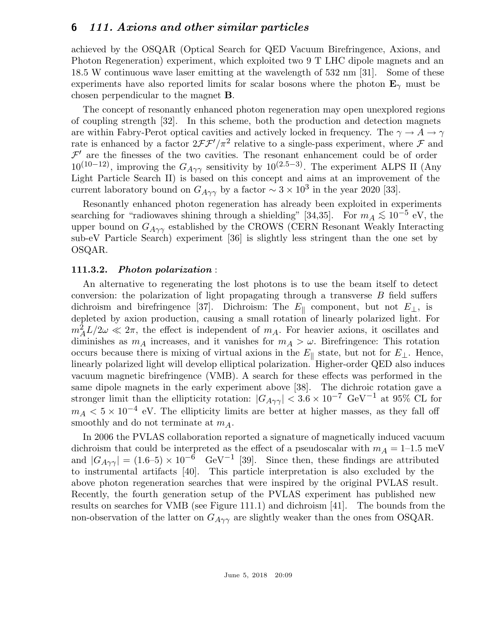achieved by the OSQAR (Optical Search for QED Vacuum Birefringence, Axions, and Photon Regeneration) experiment, which exploited two 9 T LHC dipole magnets and an 18.5 W continuous wave laser emitting at the wavelength of 532 nm [31]. Some of these experiments have also reported limits for scalar bosons where the photon  $\mathbf{E}_{\gamma}$  must be chosen perpendicular to the magnet B.

The concept of resonantly enhanced photon regeneration may open unexplored regions of coupling strength [32]. In this scheme, both the production and detection magnets are within Fabry-Perot optical cavities and actively locked in frequency. The  $\gamma \to A \to \gamma$ rate is enhanced by a factor  $2\mathcal{FF}'/\pi^2$  relative to a single-pass experiment, where  $\mathcal F$  and  $\mathcal{F}'$  are the finesses of the two cavities. The resonant enhancement could be of order  $10^{(10-12)}$ , improving the  $G_{A\gamma\gamma}$  sensitivity by  $10^{(2.5-3)}$ . The experiment ALPS II (Any Light Particle Search II) is based on this concept and aims at an improvement of the current laboratory bound on  $G_{A\gamma\gamma}$  by a factor  $\sim 3 \times 10^3$  in the year 2020 [33].

Resonantly enhanced photon regeneration has already been exploited in experiments searching for "radiowaves shining through a shielding" [34,35]. For  $m_A \lesssim 10^{-5}$  eV, the upper bound on  $G_{A\gamma\gamma}$  established by the CROWS (CERN Resonant Weakly Interacting sub-eV Particle Search) experiment [36] is slightly less stringent than the one set by OSQAR.

### 111.3.2. Photon polarization :

An alternative to regenerating the lost photons is to use the beam itself to detect conversion: the polarization of light propagating through a transverse  $B$  field suffers dichroism and birefringence [37]. Dichroism: The  $E_{\parallel}$  component, but not  $E_{\perp}$ , is depleted by axion production, causing a small rotation of linearly polarized light. For  $m_A^2 L/2\omega \ll 2\pi$ , the effect is independent of  $m_A$ . For heavier axions, it oscillates and diminishes as  $m_A$  increases, and it vanishes for  $m_A > \omega$ . Birefringence: This rotation occurs because there is mixing of virtual axions in the  $E_{\parallel}$  state, but not for  $E_{\perp}$ . Hence, linearly polarized light will develop elliptical polarization. Higher-order QED also induces vacuum magnetic birefringence (VMB). A search for these effects was performed in the same dipole magnets in the early experiment above [38]. The dichroic rotation gave a stronger limit than the ellipticity rotation:  $|G_{A\gamma\gamma}| < 3.6 \times 10^{-7}$  GeV<sup>-1</sup> at 95% CL for  $m_A < 5 \times 10^{-4}$  eV. The ellipticity limits are better at higher masses, as they fall off smoothly and do not terminate at  $m_A$ .

In 2006 the PVLAS collaboration reported a signature of magnetically induced vacuum dichroism that could be interpreted as the effect of a pseudoscalar with  $m_A = 1$ –1.5 meV and  $|G_{A\gamma\gamma}| = (1.6-5) \times 10^{-6}$  GeV<sup>-1</sup> [39]. Since then, these findings are attributed to instrumental artifacts [40]. This particle interpretation is also excluded by the above photon regeneration searches that were inspired by the original PVLAS result. Recently, the fourth generation setup of the PVLAS experiment has published new results on searches for VMB (see Figure 111.1) and dichroism [41]. The bounds from the non-observation of the latter on  $G_{A\gamma\gamma}$  are slightly weaker than the ones from OSQAR.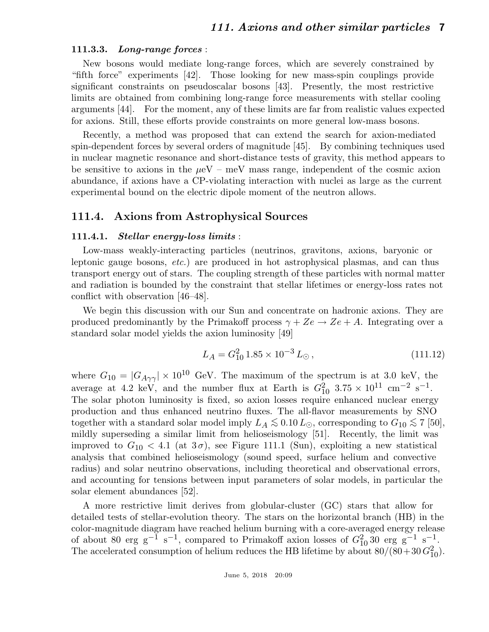#### 111.3.3. Long-range forces :

New bosons would mediate long-range forces, which are severely constrained by "fifth force" experiments [42]. Those looking for new mass-spin couplings provide significant constraints on pseudoscalar bosons [43]. Presently, the most restrictive limits are obtained from combining long-range force measurements with stellar cooling arguments [44]. For the moment, any of these limits are far from realistic values expected for axions. Still, these efforts provide constraints on more general low-mass bosons.

Recently, a method was proposed that can extend the search for axion-mediated spin-dependent forces by several orders of magnitude [45]. By combining techniques used in nuclear magnetic resonance and short-distance tests of gravity, this method appears to be sensitive to axions in the  $\mu$ eV – meV mass range, independent of the cosmic axion abundance, if axions have a CP-violating interaction with nuclei as large as the current experimental bound on the electric dipole moment of the neutron allows.

# 111.4. Axions from Astrophysical Sources

### 111.4.1. Stellar energy-loss limits :

Low-mass weakly-interacting particles (neutrinos, gravitons, axions, baryonic or leptonic gauge bosons, etc.) are produced in hot astrophysical plasmas, and can thus transport energy out of stars. The coupling strength of these particles with normal matter and radiation is bounded by the constraint that stellar lifetimes or energy-loss rates not conflict with observation [46–48].

We begin this discussion with our Sun and concentrate on hadronic axions. They are produced predominantly by the Primakoff process  $\gamma + Ze \rightarrow Ze + A$ . Integrating over a standard solar model yields the axion luminosity [49]

$$
L_A = G_{10}^2 \, 1.85 \times 10^{-3} \, L_\odot \,, \tag{111.12}
$$

where  $G_{10} = |G_{A\gamma\gamma}| \times 10^{10}$  GeV. The maximum of the spectrum is at 3.0 keV, the average at 4.2 keV, and the number flux at Earth is  $G_{10}^2$  3.75 × 10<sup>11</sup> cm<sup>-2</sup> s<sup>-1</sup>. The solar photon luminosity is fixed, so axion losses require enhanced nuclear energy production and thus enhanced neutrino fluxes. The all-flavor measurements by SNO together with a standard solar model imply  $L_A \lesssim 0.10 L_{\odot}$ , corresponding to  $G_{10} \lesssim 7$  [50], mildly superseding a similar limit from helioseismology [51]. Recently, the limit was improved to  $G_{10} < 4.1$  (at  $3\sigma$ ), see Figure 111.1 (Sun), exploiting a new statistical analysis that combined helioseismology (sound speed, surface helium and convective radius) and solar neutrino observations, including theoretical and observational errors, and accounting for tensions between input parameters of solar models, in particular the solar element abundances [52].

A more restrictive limit derives from globular-cluster (GC) stars that allow for detailed tests of stellar-evolution theory. The stars on the horizontal branch (HB) in the color-magnitude diagram have reached helium burning with a core-averaged energy release of about 80 erg g<sup>-1</sup> s<sup>-1</sup>, compared to Primakoff axion losses of  $G_{10}^2$  30 erg g<sup>-1</sup> s<sup>-1</sup>. The accelerated consumption of helium reduces the HB lifetime by about  $80/(80+30 G_{10}^2)$ .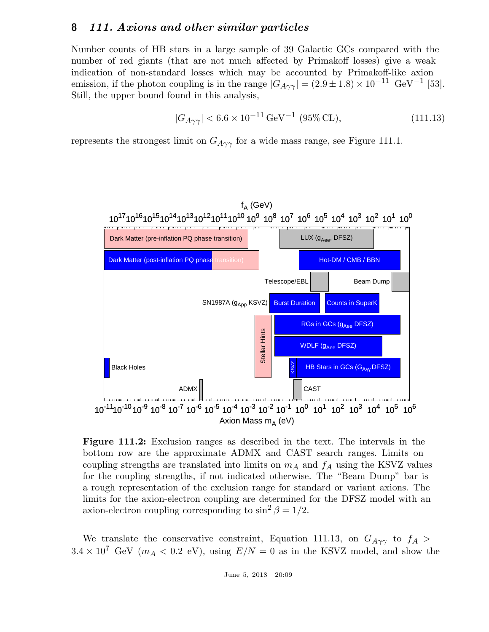Number counts of HB stars in a large sample of 39 Galactic GCs compared with the number of red giants (that are not much affected by Primakoff losses) give a weak indication of non-standard losses which may be accounted by Primakoff-like axion emission, if the photon coupling is in the range  $|G_{A\gamma\gamma}| = (2.9 \pm 1.8) \times 10^{-11} \text{ GeV}^{-1}$  [53]. Still, the upper bound found in this analysis,

$$
|G_{A\gamma\gamma}| < 6.6 \times 10^{-11} \,\text{GeV}^{-1} \,(95\% \,\text{CL}),\tag{111.13}
$$

represents the strongest limit on  $G_{A\gamma\gamma}$  for a wide mass range, see Figure 111.1.



Figure 111.2: Exclusion ranges as described in the text. The intervals in the bottom row are the approximate ADMX and CAST search ranges. Limits on coupling strengths are translated into limits on  $m_A$  and  $f_A$  using the KSVZ values for the coupling strengths, if not indicated otherwise. The "Beam Dump" bar is a rough representation of the exclusion range for standard or variant axions. The limits for the axion-electron coupling are determined for the DFSZ model with an axion-electron coupling corresponding to  $\sin^2 \beta = 1/2$ .

We translate the conservative constraint, Equation 111.13, on  $G_{A\gamma\gamma}$  to  $f_A >$  $3.4 \times 10^7$  GeV ( $m_A < 0.2$  eV), using  $E/N = 0$  as in the KSVZ model, and show the

June 5, 2018 20:09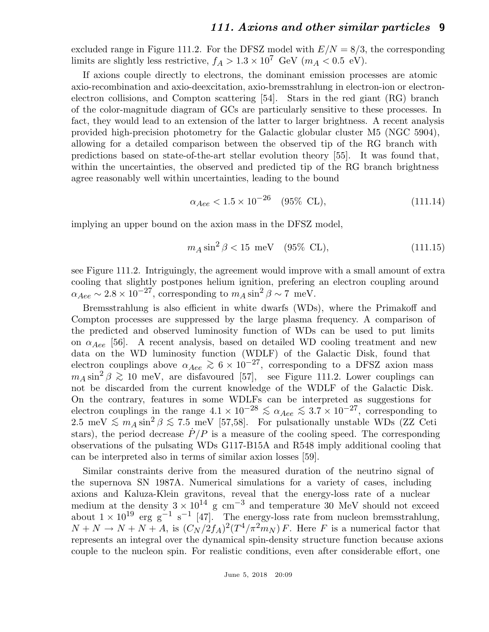excluded range in Figure 111.2. For the DFSZ model with  $E/N = 8/3$ , the corresponding limits are slightly less restrictive,  $f_A > 1.3 \times 10^7$  GeV ( $m_A < 0.5$  eV).

If axions couple directly to electrons, the dominant emission processes are atomic axio-recombination and axio-deexcitation, axio-bremsstrahlung in electron-ion or electronelectron collisions, and Compton scattering [54]. Stars in the red giant (RG) branch of the color-magnitude diagram of GCs are particularly sensitive to these processes. In fact, they would lead to an extension of the latter to larger brightness. A recent analysis provided high-precision photometry for the Galactic globular cluster M5 (NGC 5904), allowing for a detailed comparison between the observed tip of the RG branch with predictions based on state-of-the-art stellar evolution theory [55]. It was found that, within the uncertainties, the observed and predicted tip of the RG branch brightness agree reasonably well within uncertainties, leading to the bound

$$
\alpha_{Aee} < 1.5 \times 10^{-26} \quad (95\% \text{ CL}), \tag{111.14}
$$

implying an upper bound on the axion mass in the DFSZ model,

$$
m_A \sin^2 \beta < 15 \, \text{meV} \quad (95\% \, \text{CL}), \tag{111.15}
$$

see Figure 111.2. Intriguingly, the agreement would improve with a small amount of extra cooling that slightly postpones helium ignition, prefering an electron coupling around  $\alpha_{Aee} \sim 2.8 \times 10^{-27}$ , corresponding to  $m_A \sin^2 \beta \sim 7$  meV.

Bremsstrahlung is also efficient in white dwarfs (WDs), where the Primakoff and Compton processes are suppressed by the large plasma frequency. A comparison of the predicted and observed luminosity function of WDs can be used to put limits on  $\alpha_{Aee}$  [56]. A recent analysis, based on detailed WD cooling treatment and new data on the WD luminosity function (WDLF) of the Galactic Disk, found that electron couplings above  $\alpha_{Aee} \gtrsim 6 \times 10^{-27}$ , corresponding to a DFSZ axion mass  $m_A \sin^2 \beta \gtrsim 10$  meV, are disfavoured [57], see Figure 111.2. Lower couplings can not be discarded from the current knowledge of the WDLF of the Galactic Disk. On the contrary, features in some WDLFs can be interpreted as suggestions for electron couplings in the range  $4.1 \times 10^{-28} \leq \alpha_{Aee} \leq 3.7 \times 10^{-27}$ , corresponding to 2.5 meV  $\lesssim m_A \sin^2 \beta \lesssim 7.5$  meV [57,58]. For pulsationally unstable WDs (ZZ Ceti stars), the period decrease  $\dot{P}/P$  is a measure of the cooling speed. The corresponding observations of the pulsating WDs G117-B15A and R548 imply additional cooling that can be interpreted also in terms of similar axion losses [59].

Similar constraints derive from the measured duration of the neutrino signal of the supernova SN 1987A. Numerical simulations for a variety of cases, including axions and Kaluza-Klein gravitons, reveal that the energy-loss rate of a nuclear medium at the density  $3 \times 10^{14}$  g cm<sup>-3</sup> and temperature 30 MeV should not exceed about  $1 \times 10^{19}$  erg g<sup>-1</sup> s<sup>-1</sup> [47]. The energy-loss rate from nucleon bremsstrahlung,  $N + N \rightarrow N + N + A$ , is  $(C_N/2f_A)^2(T^4/\pi^2m_N) F$ . Here F is a numerical factor that represents an integral over the dynamical spin-density structure function because axions couple to the nucleon spin. For realistic conditions, even after considerable effort, one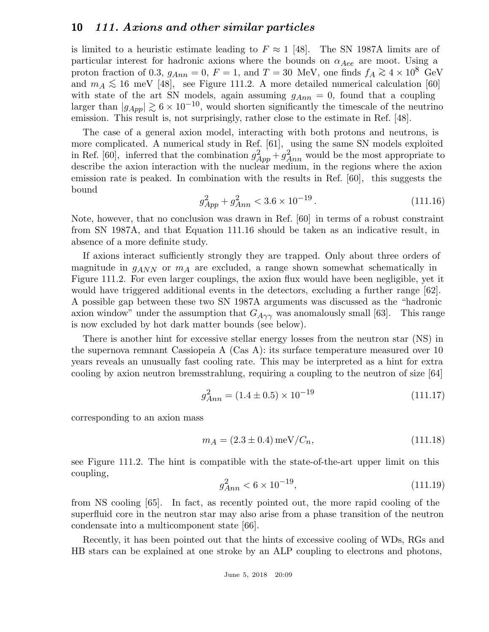is limited to a heuristic estimate leading to  $F \approx 1$  [48]. The SN 1987A limits are of particular interest for hadronic axions where the bounds on  $\alpha_{Aee}$  are moot. Using a proton fraction of 0.3,  $g_{Ann} = 0$ ,  $F = 1$ , and  $T = 30$  MeV, one finds  $f_A \gtrsim 4 \times 10^8$  GeV and  $m_A \lesssim 16$  meV [48], see Figure 111.2. A more detailed numerical calculation [60] with state of the art SN models, again assuming  $g_{Ann} = 0$ , found that a coupling larger than  $|g_{App}| \gtrsim 6 \times 10^{-10}$ , would shorten significantly the timescale of the neutrino emission. This result is, not surprisingly, rather close to the estimate in Ref. [48].

The case of a general axion model, interacting with both protons and neutrons, is more complicated. A numerical study in Ref. [61], using the same SN models exploited in Ref. [60], inferred that the combination  $g_{App}^2 + g_{Ann}^2$  would be the most appropriate to describe the axion interaction with the nuclear medium, in the regions where the axion emission rate is peaked. In combination with the results in Ref. [60], this suggests the bound

$$
g_{App}^2 + g_{Ann}^2 < 3.6 \times 10^{-19} \,. \tag{111.16}
$$

Note, however, that no conclusion was drawn in Ref. [60] in terms of a robust constraint from SN 1987A, and that Equation 111.16 should be taken as an indicative result, in absence of a more definite study.

If axions interact sufficiently strongly they are trapped. Only about three orders of magnitude in  $g_{ANN}$  or  $m_A$  are excluded, a range shown somewhat schematically in Figure 111.2. For even larger couplings, the axion flux would have been negligible, yet it would have triggered additional events in the detectors, excluding a further range [62]. A possible gap between these two SN 1987A arguments was discussed as the "hadronic axion window" under the assumption that  $G_{A\gamma\gamma}$  was anomalously small [63]. This range is now excluded by hot dark matter bounds (see below).

There is another hint for excessive stellar energy losses from the neutron star (NS) in the supernova remnant Cassiopeia A (Cas A): its surface temperature measured over 10 years reveals an unusually fast cooling rate. This may be interpreted as a hint for extra cooling by axion neutron bremsstrahlung, requiring a coupling to the neutron of size [64]

$$
g_{Ann}^{2} = (1.4 \pm 0.5) \times 10^{-19}
$$
\n(111.17)

corresponding to an axion mass

$$
m_A = (2.3 \pm 0.4) \,\text{meV}/C_n,\tag{111.18}
$$

see Figure 111.2. The hint is compatible with the state-of-the-art upper limit on this coupling,

$$
g_{Ann}^2 < 6 \times 10^{-19},\tag{111.19}
$$

from NS cooling [65]. In fact, as recently pointed out, the more rapid cooling of the superfluid core in the neutron star may also arise from a phase transition of the neutron condensate into a multicomponent state [66].

Recently, it has been pointed out that the hints of excessive cooling of WDs, RGs and HB stars can be explained at one stroke by an ALP coupling to electrons and photons,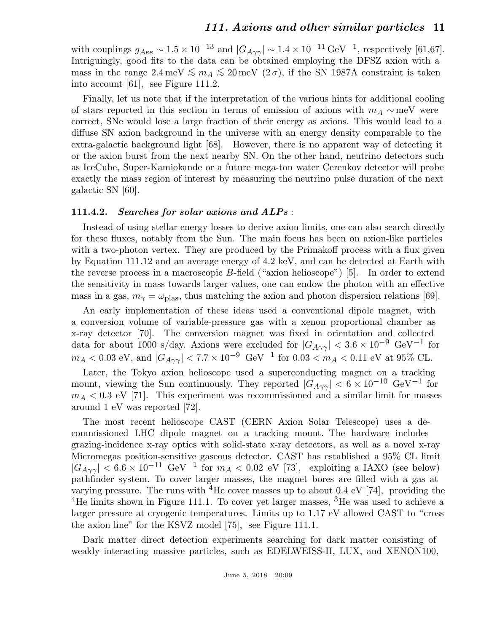with couplings  $g_{Aee} \sim 1.5 \times 10^{-13}$  and  $|G_{A\gamma\gamma}| \sim 1.4 \times 10^{-11} \text{ GeV}^{-1}$ , respectively [61,67]. Intriguingly, good fits to the data can be obtained employing the DFSZ axion with a mass in the range  $2.4 \text{ meV} \lesssim m_A \lesssim 20 \text{ meV}$  (2 $\sigma$ ), if the SN 1987A constraint is taken into account [61], see Figure 111.2.

Finally, let us note that if the interpretation of the various hints for additional cooling of stars reported in this section in terms of emission of axions with  $m_A \sim meV$  were correct, SNe would lose a large fraction of their energy as axions. This would lead to a diffuse SN axion background in the universe with an energy density comparable to the extra-galactic background light [68]. However, there is no apparent way of detecting it or the axion burst from the next nearby SN. On the other hand, neutrino detectors such as IceCube, Super-Kamiokande or a future mega-ton water Cerenkov detector will probe exactly the mass region of interest by measuring the neutrino pulse duration of the next galactic SN [60].

#### 111.4.2. Searches for solar axions and ALPs :

Instead of using stellar energy losses to derive axion limits, one can also search directly for these fluxes, notably from the Sun. The main focus has been on axion-like particles with a two-photon vertex. They are produced by the Primakoff process with a flux given by Equation 111.12 and an average energy of 4.2 keV, and can be detected at Earth with the reverse process in a macroscopic B-field ("axion helioscope") [5]. In order to extend the sensitivity in mass towards larger values, one can endow the photon with an effective mass in a gas,  $m_{\gamma} = \omega_{\text{plas}}$ , thus matching the axion and photon dispersion relations [69].

An early implementation of these ideas used a conventional dipole magnet, with a conversion volume of variable-pressure gas with a xenon proportional chamber as x-ray detector [70]. The conversion magnet was fixed in orientation and collected data for about 1000 s/day. Axions were excluded for  $|G_{A\gamma\gamma}| < 3.6 \times 10^{-9}$  GeV<sup>-1</sup> for  $m_A < 0.03$  eV, and  $|G_{A\gamma\gamma}| < 7.7 \times 10^{-9}$  GeV<sup>-1</sup> for  $0.03 < m_A < 0.11$  eV at 95% CL.

Later, the Tokyo axion helioscope used a superconducting magnet on a tracking mount, viewing the Sun continuously. They reported  $|G_{A\gamma\gamma}| < 6 \times 10^{-10}$  GeV<sup>-1</sup> for  $m_A < 0.3$  eV [71]. This experiment was recommissioned and a similar limit for masses around 1 eV was reported [72].

The most recent helioscope CAST (CERN Axion Solar Telescope) uses a decommissioned LHC dipole magnet on a tracking mount. The hardware includes grazing-incidence x-ray optics with solid-state x-ray detectors, as well as a novel x-ray Micromegas position-sensitive gaseous detector. CAST has established a 95% CL limit  $|G_{A\gamma\gamma}| < 6.6 \times 10^{-11}$  GeV<sup>-1</sup> for  $m_A < 0.02$  eV [73], exploiting a IAXO (see below) pathfinder system. To cover larger masses, the magnet bores are filled with a gas at varying pressure. The runs with <sup>4</sup>He cover masses up to about 0.4 eV [74], providing the <sup>4</sup>He limits shown in Figure 111.1. To cover yet larger masses,  ${}^{3}$ He was used to achieve a larger pressure at cryogenic temperatures. Limits up to 1.17 eV allowed CAST to "cross the axion line" for the KSVZ model [75], see Figure 111.1.

Dark matter direct detection experiments searching for dark matter consisting of weakly interacting massive particles, such as EDELWEISS-II, LUX, and XENON100,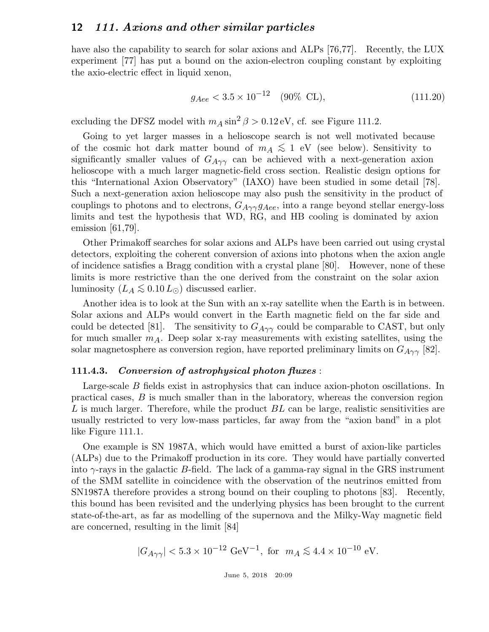have also the capability to search for solar axions and ALPs [76,77]. Recently, the LUX experiment [77] has put a bound on the axion-electron coupling constant by exploiting the axio-electric effect in liquid xenon,

$$
g_{Aee} < 3.5 \times 10^{-12} \quad (90\% \text{ CL}), \tag{111.20}
$$

excluding the DFSZ model with  $m_A \sin^2 \beta > 0.12 \text{ eV}$ , cf. see Figure 111.2.

Going to yet larger masses in a helioscope search is not well motivated because of the cosmic hot dark matter bound of  $m_A \lesssim 1$  eV (see below). Sensitivity to  $\sin^2\theta$  and  $\sin^2\theta$  and  $\sin^2\theta$  are the set of  $\theta$ significantly smaller values of  $G_{A\gamma\gamma}$  can be achieved with a next-generation axion helioscope with a much larger magnetic-field cross section. Realistic design options for this "International Axion Observatory" (IAXO) have been studied in some detail [78]. Such a next-generation axion helioscope may also push the sensitivity in the product of couplings to photons and to electrons,  $G_{A\gamma\gamma}g_{Aee}$ , into a range beyond stellar energy-loss limits and test the hypothesis that WD, RG, and HB cooling is dominated by axion emission [61,79].

Other Primakoff searches for solar axions and ALPs have been carried out using crystal detectors, exploiting the coherent conversion of axions into photons when the axion angle of incidence satisfies a Bragg condition with a crystal plane [80]. However, none of these limits is more restrictive than the one derived from the constraint on the solar axion luminosity  $(L_A \lesssim 0.10 L_{\odot})$  discussed earlier.

Another idea is to look at the Sun with an x-ray satellite when the Earth is in between. Solar axions and ALPs would convert in the Earth magnetic field on the far side and could be detected [81]. The sensitivity to  $G_{A\gamma\gamma}$  could be comparable to CAST, but only for much smaller  $m_A$ . Deep solar x-ray measurements with existing satellites, using the solar magnetosphere as conversion region, have reported preliminary limits on  $G_{A\gamma\gamma}$  [82].

#### 111.4.3. Conversion of astrophysical photon fluxes :

Large-scale B fields exist in astrophysics that can induce axion-photon oscillations. In practical cases, B is much smaller than in the laboratory, whereas the conversion region L is much larger. Therefore, while the product  $BL$  can be large, realistic sensitivities are usually restricted to very low-mass particles, far away from the "axion band" in a plot like Figure 111.1.

One example is SN 1987A, which would have emitted a burst of axion-like particles (ALPs) due to the Primakoff production in its core. They would have partially converted into  $\gamma$ -rays in the galactic B-field. The lack of a gamma-ray signal in the GRS instrument of the SMM satellite in coincidence with the observation of the neutrinos emitted from SN1987A therefore provides a strong bound on their coupling to photons [83]. Recently, this bound has been revisited and the underlying physics has been brought to the current state-of-the-art, as far as modelling of the supernova and the Milky-Way magnetic field are concerned, resulting in the limit [84]

$$
|G_{A\gamma\gamma}| < 5.3 \times 10^{-12} \text{ GeV}^{-1}
$$
, for  $m_A \lesssim 4.4 \times 10^{-10} \text{ eV}$ .

June 5, 2018 20:09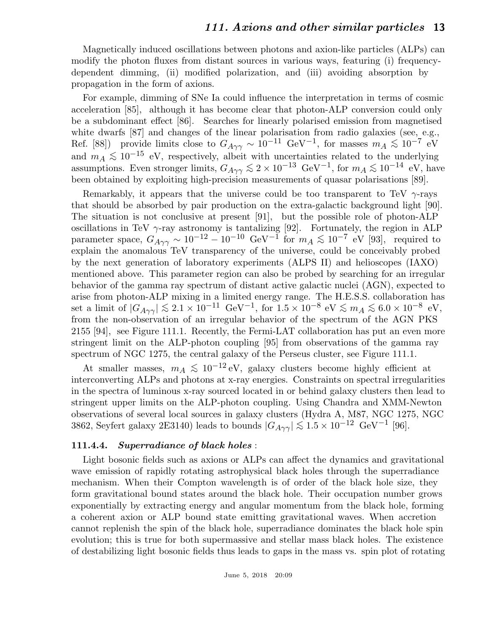Magnetically induced oscillations between photons and axion-like particles (ALPs) can modify the photon fluxes from distant sources in various ways, featuring (i) frequencydependent dimming, (ii) modified polarization, and (iii) avoiding absorption by propagation in the form of axions.

For example, dimming of SNe Ia could influence the interpretation in terms of cosmic acceleration [85], although it has become clear that photon-ALP conversion could only be a subdominant effect [86]. Searches for linearly polarised emission from magnetised white dwarfs [87] and changes of the linear polarisation from radio galaxies (see, e.g., Ref. [88]) provide limits close to  $G_{A\gamma\gamma} \sim 10^{-11} \text{ GeV}^{-1}$ , for masses  $m_A \lesssim 10^{-7} \text{ eV}^{-1}$ and  $m_A \lesssim 10^{-15}$  eV, respectively, albeit with uncertainties related to the underlying assumptions. Even stronger limits,  $G_{A\gamma\gamma} \lesssim 2 \times 10^{-13} \text{ GeV}^{-1}$ , for  $m_A \lesssim 10^{-14} \text{ eV}$ , have been obtained by exploiting high-precision measurements of quasar polarisations [89].

Remarkably, it appears that the universe could be too transparent to TeV  $\gamma$ -rays that should be absorbed by pair production on the extra-galactic background light [90]. The situation is not conclusive at present [91], but the possible role of photon-ALP oscillations in TeV  $\gamma$ -ray astronomy is tantalizing [92]. Fortunately, the region in ALP parameter space,  $G_{A\gamma\gamma} \sim 10^{-12} - 10^{-10} \text{ GeV}^{-1}$  for  $m_A \lesssim 10^{-7} \text{ eV}$  [93], required to explain the anomalous TeV transparency of the universe, could be conceivably probed by the next generation of laboratory experiments (ALPS II) and helioscopes (IAXO) mentioned above. This parameter region can also be probed by searching for an irregular behavior of the gamma ray spectrum of distant active galactic nuclei (AGN), expected to arise from photon-ALP mixing in a limited energy range. The H.E.S.S. collaboration has set a limit of  $|G_{A\gamma\gamma}| \lesssim 2.1 \times 10^{-11} \text{ GeV}^{-1}$ , for  $1.5 \times 10^{-8} \text{ eV} \lesssim m_A \lesssim 6.0 \times 10^{-8} \text{ eV}$ ,<br>from the new electron of an imagela helectron of the maximum of the AGN PKG from the non-observation of an irregular behavior of the spectrum of the AGN PKS 2155 [94], see Figure 111.1. Recently, the Fermi-LAT collaboration has put an even more stringent limit on the ALP-photon coupling [95] from observations of the gamma ray spectrum of NGC 1275, the central galaxy of the Perseus cluster, see Figure 111.1.

At smaller masses,  $m_A \lesssim 10^{-12} \text{ eV}$ , galaxy clusters become highly efficient at interconverting ALPs and photons at x-ray energies. Constraints on spectral irregularities in the spectra of luminous x-ray sourced located in or behind galaxy clusters then lead to stringent upper limits on the ALP-photon coupling. Using Chandra and XMM-Newton observations of several local sources in galaxy clusters (Hydra A, M87, NGC 1275, NGC 3862, Seyfert galaxy 2E3140) leads to bounds  $|G_{A\gamma\gamma}| \lesssim 1.5 \times 10^{-12} \text{ GeV}^{-1}$  [96].

#### 111.4.4. Superradiance of black holes:

Light bosonic fields such as axions or ALPs can affect the dynamics and gravitational wave emission of rapidly rotating astrophysical black holes through the superradiance mechanism. When their Compton wavelength is of order of the black hole size, they form gravitational bound states around the black hole. Their occupation number grows exponentially by extracting energy and angular momentum from the black hole, forming a coherent axion or ALP bound state emitting gravitational waves. When accretion cannot replenish the spin of the black hole, superradiance dominates the black hole spin evolution; this is true for both supermassive and stellar mass black holes. The existence of destabilizing light bosonic fields thus leads to gaps in the mass vs. spin plot of rotating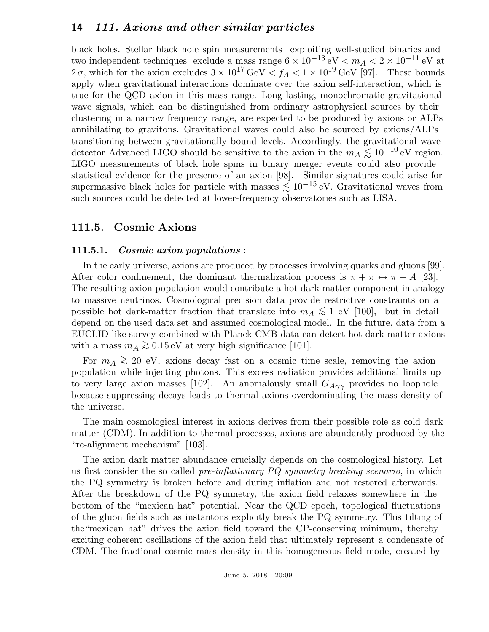black holes. Stellar black hole spin measurements exploiting well-studied binaries and two independent techniques exclude a mass range  $6 \times 10^{-13}$  eV  $\lt m_A < 2 \times 10^{-11}$  eV at 2 $\sigma$ , which for the axion excludes  $3 \times 10^{17} \text{ GeV} < f_A < 1 \times 10^{19} \text{ GeV}$  [97]. These bounds apply when gravitational interactions dominate over the axion self-interaction, which is true for the QCD axion in this mass range. Long lasting, monochromatic gravitational wave signals, which can be distinguished from ordinary astrophysical sources by their clustering in a narrow frequency range, are expected to be produced by axions or ALPs annihilating to gravitons. Gravitational waves could also be sourced by axions/ALPs transitioning between gravitationally bound levels. Accordingly, the gravitational wave detector Advanced LIGO should be sensitive to the axion in the  $m_A \lesssim 10^{-10}$  eV region. LIGO measurements of black hole spins in binary merger events could also provide statistical evidence for the presence of an axion [98]. Similar signatures could arise for supermassive black holes for particle with masses  $\lesssim 10^{-15}$  eV. Gravitational waves from such sources could be detected at lower-frequency observatories such as LISA.

# 111.5. Cosmic Axions

### 111.5.1. Cosmic axion populations :

In the early universe, axions are produced by processes involving quarks and gluons [99]. After color confinement, the dominant thermalization process is  $\pi + \pi \leftrightarrow \pi + A$  [23]. The resulting axion population would contribute a hot dark matter component in analogy to massive neutrinos. Cosmological precision data provide restrictive constraints on a possible hot dark-matter fraction that translate into  $m_A \lesssim 1$  eV [100], but in detail depend on the used data set and assumed cosmological model. In the future, data from a EUCLID-like survey combined with Planck CMB data can detect hot dark matter axions with a mass  $m_A \gtrsim 0.15 \,\text{eV}$  at very high significance [101].

For  $m_A \gtrsim 20$  eV, axions decay fast on a cosmic time scale, removing the axion population while injecting photons. This excess radiation provides additional limits up to very large axion masses [102]. An anomalously small  $G_{A\gamma\gamma}$  provides no loophole because suppressing decays leads to thermal axions overdominating the mass density of the universe.

The main cosmological interest in axions derives from their possible role as cold dark matter (CDM). In addition to thermal processes, axions are abundantly produced by the "re-alignment mechanism" [103].

The axion dark matter abundance crucially depends on the cosmological history. Let us first consider the so called *pre-inflationary PQ symmetry breaking scenario*, in which the PQ symmetry is broken before and during inflation and not restored afterwards. After the breakdown of the PQ symmetry, the axion field relaxes somewhere in the bottom of the "mexican hat" potential. Near the QCD epoch, topological fluctuations of the gluon fields such as instantons explicitly break the PQ symmetry. This tilting of the"mexican hat" drives the axion field toward the CP-conserving minimum, thereby exciting coherent oscillations of the axion field that ultimately represent a condensate of CDM. The fractional cosmic mass density in this homogeneous field mode, created by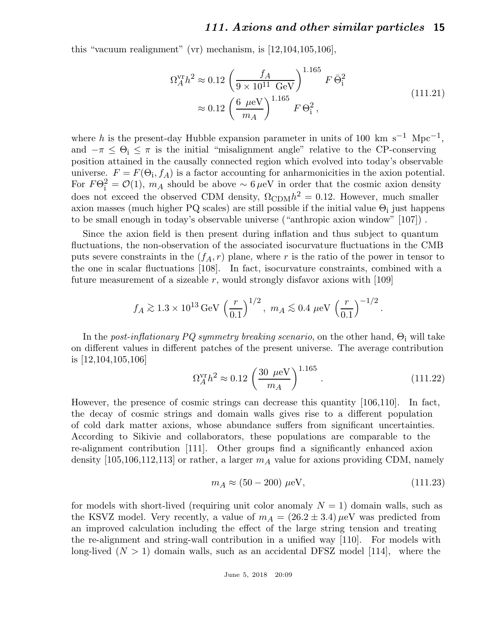this "vacuum realignment" (vr) mechanism, is [12,104,105,106],

$$
\Omega_A^{\rm vr} h^2 \approx 0.12 \left( \frac{f_A}{9 \times 10^{11} \text{ GeV}} \right)^{1.165} F \bar{\Theta}_i^2
$$
\n
$$
\approx 0.12 \left( \frac{6 \text{ } \mu \text{eV}}{m_A} \right)^{1.165} F \Theta_i^2 ,\tag{111.21}
$$

where h is the present-day Hubble expansion parameter in units of 100 km s<sup>-1</sup> Mpc<sup>-1</sup>, and  $-\pi \leq \Theta_i \leq \pi$  is the initial "misalignment angle" relative to the CP-conserving position attained in the causally connected region which evolved into today's observable universe.  $F = F(\Theta_i, f_A)$  is a factor accounting for anharmonicities in the axion potential. For  $F\Theta_1^2 = \mathcal{O}(1)$ ,  $m_A$  should be above ~ 6  $\mu$ eV in order that the cosmic axion density does not exceed the observed CDM density,  $\Omega_{\rm CDM} h^2 = 0.12$ . However, much smaller axion masses (much higher PQ scales) are still possible if the initial value  $\Theta_i$  just happens to be small enough in today's observable universe ("anthropic axion window" [107]) .

Since the axion field is then present during inflation and thus subject to quantum fluctuations, the non-observation of the associated isocurvature fluctuations in the CMB puts severe constraints in the  $(f_A, r)$  plane, where r is the ratio of the power in tensor to the one in scalar fluctuations [108]. In fact, isocurvature constraints, combined with a future measurement of a sizeable r, would strongly disfavor axions with  $[109]$ 

$$
f_A \gtrsim 1.3 \times 10^{13} \,\text{GeV} \left(\frac{r}{0.1}\right)^{1/2}, \ m_A \lesssim 0.4 \ \mu\text{eV} \left(\frac{r}{0.1}\right)^{-1/2}.
$$

In the post-inflationary PQ symmetry breaking scenario, on the other hand,  $\Theta_i$  will take on different values in different patches of the present universe. The average contribution is [12,104,105,106]

$$
\Omega_A^{\rm vr} h^2 \approx 0.12 \left( \frac{30 \ \mu \text{eV}}{m_A} \right)^{1.165} . \tag{111.22}
$$

However, the presence of cosmic strings can decrease this quantity [106,110]. In fact, the decay of cosmic strings and domain walls gives rise to a different population of cold dark matter axions, whose abundance suffers from significant uncertainties. According to Sikivie and collaborators, these populations are comparable to the re-alignment contribution [111]. Other groups find a significantly enhanced axion density [105,106,112,113] or rather, a larger  $m_A$  value for axions providing CDM, namely

$$
m_A \approx (50 - 200) \,\,\mu\text{eV},\tag{111.23}
$$

for models with short-lived (requiring unit color anomaly  $N = 1$ ) domain walls, such as the KSVZ model. Very recently, a value of  $m_A = (26.2 \pm 3.4) \mu\text{eV}$  was predicted from an improved calculation including the effect of the large string tension and treating the re-alignment and string-wall contribution in a unified way [110]. For models with long-lived  $(N > 1)$  domain walls, such as an accidental DFSZ model [114], where the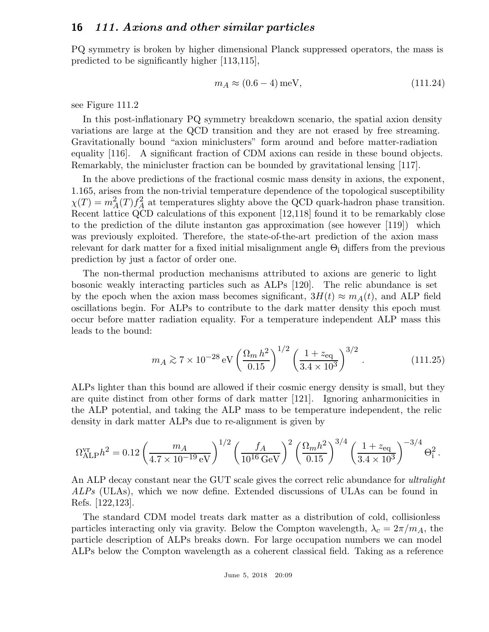PQ symmetry is broken by higher dimensional Planck suppressed operators, the mass is predicted to be significantly higher [113,115],

$$
m_A \approx (0.6 - 4) \,\text{meV},\tag{111.24}
$$

see Figure 111.2

In this post-inflationary PQ symmetry breakdown scenario, the spatial axion density variations are large at the QCD transition and they are not erased by free streaming. Gravitationally bound "axion miniclusters" form around and before matter-radiation equality [116]. A significant fraction of CDM axions can reside in these bound objects. Remarkably, the minicluster fraction can be bounded by gravitational lensing [117].

In the above predictions of the fractional cosmic mass density in axions, the exponent, 1.165, arises from the non-trivial temperature dependence of the topological susceptibility  $\chi(T) = m_A^2(T) f_A^2$  $A<sub>A</sub>$  at temperatures slighty above the QCD quark-hadron phase transition. Recent lattice QCD calculations of this exponent [12,118] found it to be remarkably close to the prediction of the dilute instanton gas approximation (see however [119]) which was previously exploited. Therefore, the state-of-the-art prediction of the axion mass relevant for dark matter for a fixed initial misalignment angle  $\Theta_i$  differs from the previous prediction by just a factor of order one.

The non-thermal production mechanisms attributed to axions are generic to light bosonic weakly interacting particles such as ALPs [120]. The relic abundance is set by the epoch when the axion mass becomes significant,  $3H(t) \approx m_A(t)$ , and ALP field oscillations begin. For ALPs to contribute to the dark matter density this epoch must occur before matter radiation equality. For a temperature independent ALP mass this leads to the bound:

$$
m_A \gtrsim 7 \times 10^{-28} \,\mathrm{eV} \left(\frac{\Omega_m \, h^2}{0.15}\right)^{1/2} \left(\frac{1 + z_{\text{eq}}}{3.4 \times 10^3}\right)^{3/2} \,. \tag{111.25}
$$

ALPs lighter than this bound are allowed if their cosmic energy density is small, but they are quite distinct from other forms of dark matter [121]. Ignoring anharmonicities in the ALP potential, and taking the ALP mass to be temperature independent, the relic density in dark matter ALPs due to re-alignment is given by

$$
\Omega_{\text{ALP}}^{\text{vr}} h^2 = 0.12 \left( \frac{m_A}{4.7 \times 10^{-19} \text{ eV}} \right)^{1/2} \left( \frac{f_A}{10^{16} \text{ GeV}} \right)^2 \left( \frac{\Omega_m h^2}{0.15} \right)^{3/4} \left( \frac{1 + z_{\text{eq}}}{3.4 \times 10^3} \right)^{-3/4} \Theta_i^2.
$$

An ALP decay constant near the GUT scale gives the correct relic abundance for *ultralight* ALPs (ULAs), which we now define. Extended discussions of ULAs can be found in Refs. [122,123].

The standard CDM model treats dark matter as a distribution of cold, collisionless particles interacting only via gravity. Below the Compton wavelength,  $\lambda_c = 2\pi/m_A$ , the particle description of ALPs breaks down. For large occupation numbers we can model ALPs below the Compton wavelength as a coherent classical field. Taking as a reference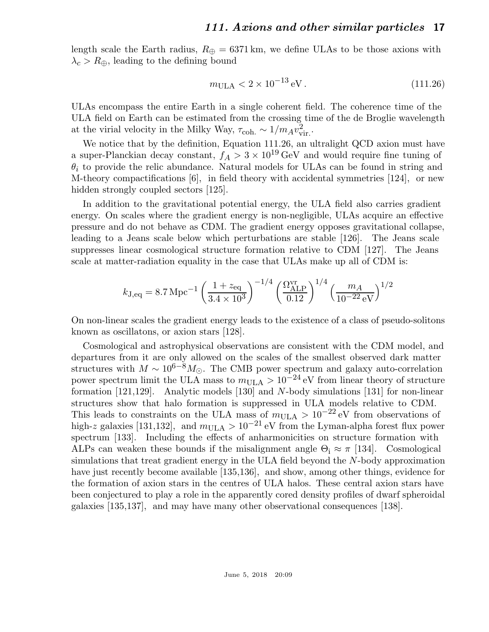length scale the Earth radius,  $R_{\oplus} = 6371 \text{ km}$ , we define ULAs to be those axions with  $\lambda_c > R_{\oplus}$ , leading to the defining bound

$$
m_{\text{ULA}} < 2 \times 10^{-13} \,\text{eV} \,. \tag{111.26}
$$

ULAs encompass the entire Earth in a single coherent field. The coherence time of the ULA field on Earth can be estimated from the crossing time of the de Broglie wavelength at the virial velocity in the Milky Way,  $\tau_{\text{coh.}} \sim 1/m_A v_{\text{v}}^2$ vir. .

We notice that by the definition, Equation 111.26, an ultralight QCD axion must have a super-Planckian decay constant,  $f_A > 3 \times 10^{19}$  GeV and would require fine tuning of  $\theta_i$  to provide the relic abundance. Natural models for ULAs can be found in string and M-theory compactifications [6], in field theory with accidental symmetries [124], or new hidden strongly coupled sectors [125].

In addition to the gravitational potential energy, the ULA field also carries gradient energy. On scales where the gradient energy is non-negligible, ULAs acquire an effective pressure and do not behave as CDM. The gradient energy opposes gravitational collapse, leading to a Jeans scale below which perturbations are stable [126]. The Jeans scale suppresses linear cosmological structure formation relative to CDM [127]. The Jeans scale at matter-radiation equality in the case that ULAs make up all of CDM is:

$$
k_{\text{J,eq}} = 8.7 \,\text{Mpc}^{-1} \left( \frac{1 + z_{\text{eq}}}{3.4 \times 10^3} \right)^{-1/4} \left( \frac{\Omega_{\text{ALP}}^{\text{vr}}}{0.12} \right)^{1/4} \left( \frac{m_A}{10^{-22} \,\text{eV}} \right)^{1/2}
$$

On non-linear scales the gradient energy leads to the existence of a class of pseudo-solitons known as oscillatons, or axion stars [128].

Cosmological and astrophysical observations are consistent with the CDM model, and departures from it are only allowed on the scales of the smallest observed dark matter structures with  $M \sim 10^{6-8} M_{\odot}$ . The CMB power spectrum and galaxy auto-correlation power spectrum limit the ULA mass to  $m_{\text{ULA}} > 10^{-24}$  eV from linear theory of structure formation [121,129]. Analytic models [130] and N-body simulations [131] for non-linear structures show that halo formation is suppressed in ULA models relative to CDM. This leads to constraints on the ULA mass of  $m_{\text{ULA}} > 10^{-22} \text{ eV}$  from observations of high-z galaxies [131,132], and  $m_{\text{ULA}} > 10^{-21}$  eV from the Lyman-alpha forest flux power spectrum [133]. Including the effects of anharmonicities on structure formation with ALPs can weaken these bounds if the misalignment angle  $\Theta_i \approx \pi$  [134]. Cosmological simulations that treat gradient energy in the ULA field beyond the N-body approximation have just recently become available [135,136], and show, among other things, evidence for the formation of axion stars in the centres of ULA halos. These central axion stars have been conjectured to play a role in the apparently cored density profiles of dwarf spheroidal galaxies [135,137], and may have many other observational consequences [138].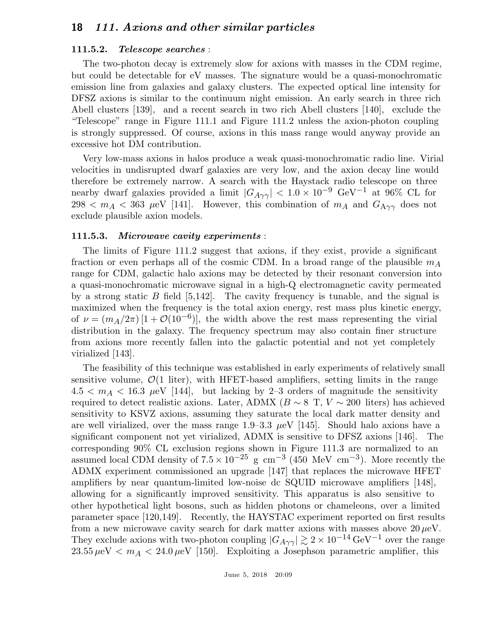#### 111.5.2. Telescope searches :

The two-photon decay is extremely slow for axions with masses in the CDM regime, but could be detectable for eV masses. The signature would be a quasi-monochromatic emission line from galaxies and galaxy clusters. The expected optical line intensity for DFSZ axions is similar to the continuum night emission. An early search in three rich Abell clusters [139], and a recent search in two rich Abell clusters [140], exclude the "Telescope" range in Figure 111.1 and Figure 111.2 unless the axion-photon coupling is strongly suppressed. Of course, axions in this mass range would anyway provide an excessive hot DM contribution.

Very low-mass axions in halos produce a weak quasi-monochromatic radio line. Virial velocities in undisrupted dwarf galaxies are very low, and the axion decay line would therefore be extremely narrow. A search with the Haystack radio telescope on three nearby dwarf galaxies provided a limit  $|G_{A\gamma\gamma}| < 1.0 \times 10^{-9}$  GeV<sup>-1</sup> at 96% CL for 298  $<$   $m_A$   $<$  363  $\mu$ eV [141]. However, this combination of  $m_A$  and  $G_{A\gamma\gamma}$  does not exclude plausible axion models.

#### 111.5.3. Microwave cavity experiments :

The limits of Figure 111.2 suggest that axions, if they exist, provide a significant fraction or even perhaps all of the cosmic CDM. In a broad range of the plausible  $m_A$ range for CDM, galactic halo axions may be detected by their resonant conversion into a quasi-monochromatic microwave signal in a high-Q electromagnetic cavity permeated by a strong static B field  $[5,142]$ . The cavity frequency is tunable, and the signal is maximized when the frequency is the total axion energy, rest mass plus kinetic energy, of  $\nu = (m_A/2\pi) [1 + \mathcal{O}(10^{-6})]$ , the width above the rest mass representing the virial distribution in the galaxy. The frequency spectrum may also contain finer structure from axions more recently fallen into the galactic potential and not yet completely virialized [143].

The feasibility of this technique was established in early experiments of relatively small sensitive volume,  $\mathcal{O}(1)$  liter), with HFET-based amplifiers, setting limits in the range  $4.5 < m_A < 16.3$   $\mu$ eV [144], but lacking by 2-3 orders of magnitude the sensitivity required to detect realistic axions. Later, ADMX ( $B \sim 8$  T,  $V \sim 200$  liters) has achieved sensitivity to KSVZ axions, assuming they saturate the local dark matter density and are well virialized, over the mass range  $1.9-3.3 \mu\text{eV}$  [145]. Should halo axions have a significant component not yet virialized, ADMX is sensitive to DFSZ axions [146]. The corresponding 90% CL exclusion regions shown in Figure 111.3 are normalized to an assumed local CDM density of  $7.5 \times 10^{-25}$  g cm<sup>-3</sup> (450 MeV cm<sup>-3</sup>). More recently the ADMX experiment commissioned an upgrade [147] that replaces the microwave HFET amplifiers by near quantum-limited low-noise dc SQUID microwave amplifiers [148], allowing for a significantly improved sensitivity. This apparatus is also sensitive to other hypothetical light bosons, such as hidden photons or chameleons, over a limited parameter space [120,149]. Recently, the HAYSTAC experiment reported on first results from a new microwave cavity search for dark matter axions with masses above  $20 \mu\text{eV}$ . They exclude axions with two-photon coupling  $|G_{A\gamma\gamma}| \gtrsim 2 \times 10^{-14} \, {\rm GeV^{-1}}$  over the range  $23.55 \,\mu\text{eV} < m_A < 24.0 \,\mu\text{eV}$  [150]. Exploiting a Josephson parametric amplifier, this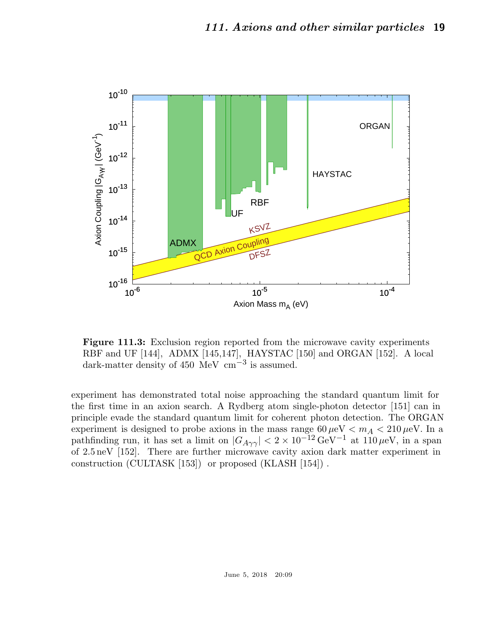

Figure 111.3: Exclusion region reported from the microwave cavity experiments RBF and UF [144], ADMX [145,147], HAYSTAC [150] and ORGAN [152]. A local dark-matter density of 450 MeV  $\text{cm}^{-3}$  is assumed.

experiment has demonstrated total noise approaching the standard quantum limit for the first time in an axion search. A Rydberg atom single-photon detector [151] can in principle evade the standard quantum limit for coherent photon detection. The ORGAN experiment is designed to probe axions in the mass range  $60 \,\mu\text{eV} < m_A < 210 \,\mu\text{eV}$ . In a pathfinding run, it has set a limit on  $|G_{A\gamma\gamma}| < 2 \times 10^{-12} \text{ GeV}^{-1}$  at  $110 \mu\text{eV}$ , in a span of 2.5neV [152]. There are further microwave cavity axion dark matter experiment in construction (CULTASK [153]) or proposed (KLASH [154]) .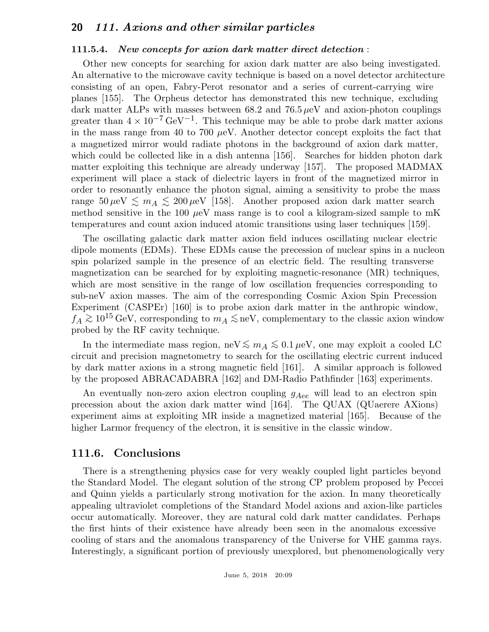#### 111.5.4. New concepts for axion dark matter direct detection :

Other new concepts for searching for axion dark matter are also being investigated. An alternative to the microwave cavity technique is based on a novel detector architecture consisting of an open, Fabry-Perot resonator and a series of current-carrying wire planes [155]. The Orpheus detector has demonstrated this new technique, excluding dark matter ALPs with masses between  $68.2$  and  $76.5 \mu\text{eV}$  and axion-photon couplings greater than  $4 \times 10^{-7} \text{ GeV}^{-1}$ . This technique may be able to probe dark matter axions in the mass range from 40 to 700  $\mu$ eV. Another detector concept exploits the fact that a magnetized mirror would radiate photons in the background of axion dark matter, which could be collected like in a dish antenna [156]. Searches for hidden photon dark matter exploiting this technique are already underway [157]. The proposed MADMAX experiment will place a stack of dielectric layers in front of the magnetized mirror in order to resonantly enhance the photon signal, aiming a sensitivity to probe the mass range  $50 \,\mu\text{eV} \lesssim m_A \lesssim 200 \,\mu\text{eV}$  [158]. Another proposed axion dark matter search method sensitive in the 100  $\mu$ eV mass range is to cool a kilogram-sized sample to mK temperatures and count axion induced atomic transitions using laser techniques [159].

The oscillating galactic dark matter axion field induces oscillating nuclear electric dipole moments (EDMs). These EDMs cause the precession of nuclear spins in a nucleon spin polarized sample in the presence of an electric field. The resulting transverse magnetization can be searched for by exploiting magnetic-resonance (MR) techniques, which are most sensitive in the range of low oscillation frequencies corresponding to sub-neV axion masses. The aim of the corresponding Cosmic Axion Spin Precession Experiment (CASPEr) [160] is to probe axion dark matter in the anthropic window,  $f_A \gtrsim 10^{15} \text{ GeV}$ , corresponding to  $m_A \lesssim \text{neV}$ , complementary to the classic axion window probed by the RF cavity technique.

In the intermediate mass region, neV  $\lesssim m_A \lesssim 0.1 \,\mu\text{eV}$ , one may exploit a cooled LC circuit and precision magnetometry to search for the oscillating electric current induced by dark matter axions in a strong magnetic field [161]. A similar approach is followed by the proposed ABRACADABRA [162] and DM-Radio Pathfinder [163] experiments.

An eventually non-zero axion electron coupling  $g_{Aee}$  will lead to an electron spin precession about the axion dark matter wind [164]. The QUAX (QUaerere AXions) experiment aims at exploiting MR inside a magnetized material [165]. Because of the higher Larmor frequency of the electron, it is sensitive in the classic window.

## 111.6. Conclusions

There is a strengthening physics case for very weakly coupled light particles beyond the Standard Model. The elegant solution of the strong CP problem proposed by Peccei and Quinn yields a particularly strong motivation for the axion. In many theoretically appealing ultraviolet completions of the Standard Model axions and axion-like particles occur automatically. Moreover, they are natural cold dark matter candidates. Perhaps the first hints of their existence have already been seen in the anomalous excessive cooling of stars and the anomalous transparency of the Universe for VHE gamma rays. Interestingly, a significant portion of previously unexplored, but phenomenologically very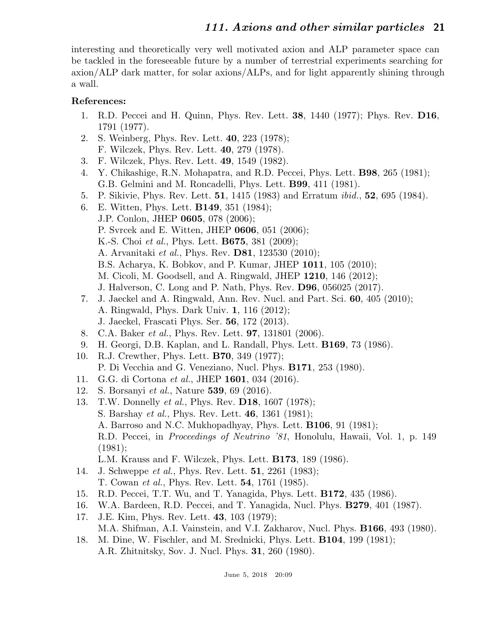interesting and theoretically very well motivated axion and ALP parameter space can be tackled in the foreseeable future by a number of terrestrial experiments searching for axion/ALP dark matter, for solar axions/ALPs, and for light apparently shining through a wall.

## References:

- 1. R.D. Peccei and H. Quinn, Phys. Rev. Lett. 38, 1440 (1977); Phys. Rev. D16, 1791 (1977).
- 2. S. Weinberg, Phys. Rev. Lett. 40, 223 (1978); F. Wilczek, Phys. Rev. Lett. 40, 279 (1978).
- 3. F. Wilczek, Phys. Rev. Lett. 49, 1549 (1982).
- 4. Y. Chikashige, R.N. Mohapatra, and R.D. Peccei, Phys. Lett. B98, 265 (1981); G.B. Gelmini and M. Roncadelli, Phys. Lett. B99, 411 (1981).
- 5. P. Sikivie, Phys. Rev. Lett. 51, 1415 (1983) and Erratum ibid., 52, 695 (1984).
- 6. E. Witten, Phys. Lett. B149, 351 (1984); J.P. Conlon, JHEP 0605, 078 (2006); P. Svrcek and E. Witten, JHEP 0606, 051 (2006); K.-S. Choi *et al.*, Phys. Lett. **B675**, 381 (2009); A. Arvanitaki et al., Phys. Rev. D81, 123530 (2010); B.S. Acharya, K. Bobkov, and P. Kumar, JHEP 1011, 105 (2010); M. Cicoli, M. Goodsell, and A. Ringwald, JHEP 1210, 146 (2012); J. Halverson, C. Long and P. Nath, Phys. Rev. D96, 056025 (2017).
- 7. J. Jaeckel and A. Ringwald, Ann. Rev. Nucl. and Part. Sci. 60, 405 (2010); A. Ringwald, Phys. Dark Univ. 1, 116 (2012); J. Jaeckel, Frascati Phys. Ser. 56, 172 (2013).
- 8. C.A. Baker et al., Phys. Rev. Lett. 97, 131801 (2006).
- 9. H. Georgi, D.B. Kaplan, and L. Randall, Phys. Lett. B169, 73 (1986).
- 10. R.J. Crewther, Phys. Lett. B70, 349 (1977); P. Di Vecchia and G. Veneziano, Nucl. Phys. B171, 253 (1980).
- 11. G.G. di Cortona et al., JHEP 1601, 034 (2016).
- 12. S. Borsanyi et al., Nature 539, 69 (2016).
- 13. T.W. Donnelly *et al.*, Phys. Rev. **D18**, 1607 (1978); S. Barshay et al., Phys. Rev. Lett. 46, 1361 (1981); A. Barroso and N.C. Mukhopadhyay, Phys. Lett. B106, 91 (1981); R.D. Peccei, in Proceedings of Neutrino '81, Honolulu, Hawaii, Vol. 1, p. 149 (1981);
	- L.M. Krauss and F. Wilczek, Phys. Lett. B173, 189 (1986).
- 14. J. Schweppe et al., Phys. Rev. Lett. 51, 2261 (1983); T. Cowan et al., Phys. Rev. Lett. 54, 1761 (1985).
- 15. R.D. Peccei, T.T. Wu, and T. Yanagida, Phys. Lett. B172, 435 (1986).
- 16. W.A. Bardeen, R.D. Peccei, and T. Yanagida, Nucl. Phys. B279, 401 (1987).
- 17. J.E. Kim, Phys. Rev. Lett. 43, 103 (1979); M.A. Shifman, A.I. Vainstein, and V.I. Zakharov, Nucl. Phys. B166, 493 (1980).
- 18. M. Dine, W. Fischler, and M. Srednicki, Phys. Lett. B104, 199 (1981); A.R. Zhitnitsky, Sov. J. Nucl. Phys. 31, 260 (1980).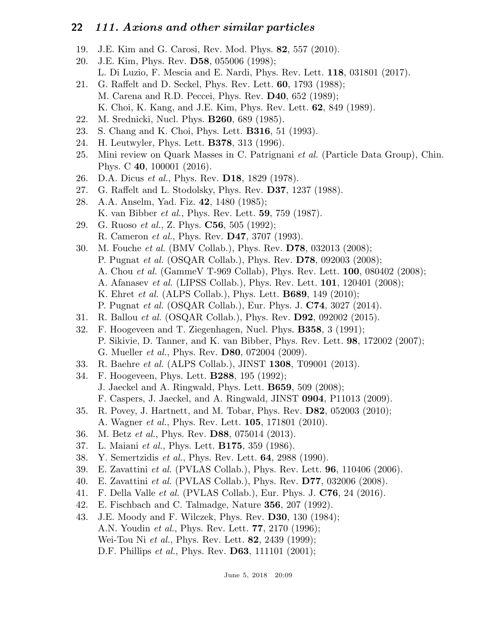- 19. J.E. Kim and G. Carosi, Rev. Mod. Phys. 82, 557 (2010).
- 20. J.E. Kim, Phys. Rev. D58, 055006 (1998); L. Di Luzio, F. Mescia and E. Nardi, Phys. Rev. Lett. 118, 031801 (2017).
- 21. G. Raffelt and D. Seckel, Phys. Rev. Lett. 60, 1793 (1988); M. Carena and R.D. Peccei, Phys. Rev. D40, 652 (1989); K. Choi, K. Kang, and J.E. Kim, Phys. Rev. Lett. 62, 849 (1989).
- 22. M. Srednicki, Nucl. Phys. B260, 689 (1985).
- 23. S. Chang and K. Choi, Phys. Lett. B316, 51 (1993).
- 24. H. Leutwyler, Phys. Lett. B378, 313 (1996).
- 25. Mini review on Quark Masses in C. Patrignani et al. (Particle Data Group), Chin. Phys. C 40, 100001 (2016).
- 26. D.A. Dicus et al., Phys. Rev. D18, 1829 (1978).
- 27. G. Raffelt and L. Stodolsky, Phys. Rev. D37, 1237 (1988).
- 28. A.A. Anselm, Yad. Fiz. 42, 1480 (1985); K. van Bibber et al., Phys. Rev. Lett. 59, 759 (1987).
- 29. G. Ruoso et al., Z. Phys. C56, 505 (1992); R. Cameron et al., Phys. Rev. D47, 3707 (1993).
- 30. M. Fouche et al. (BMV Collab.), Phys. Rev. D78, 032013 (2008); P. Pugnat et al. (OSQAR Collab.), Phys. Rev. D78, 092003 (2008); A. Chou et al. (GammeV T-969 Collab), Phys. Rev. Lett. 100, 080402 (2008); A. Afanasev et al. (LIPSS Collab.), Phys. Rev. Lett. 101, 120401 (2008);
	- K. Ehret *et al.* (ALPS Collab.), Phys. Lett. **B689**, 149 (2010);
	- P. Pugnat et al. (OSQAR Collab.), Eur. Phys. J. C74, 3027 (2014).
- 31. R. Ballou et al. (OSQAR Collab.), Phys. Rev. D92, 092002 (2015).
- 32. F. Hoogeveen and T. Ziegenhagen, Nucl. Phys. B358, 3 (1991); P. Sikivie, D. Tanner, and K. van Bibber, Phys. Rev. Lett. 98, 172002 (2007); G. Mueller et al., Phys. Rev. D80, 072004 (2009).
- 33. R. Baehre et al. (ALPS Collab.), JINST 1308, T09001 (2013).
- 34. F. Hoogeveen, Phys. Lett. B288, 195 (1992); J. Jaeckel and A. Ringwald, Phys. Lett. B659, 509 (2008); F. Caspers, J. Jaeckel, and A. Ringwald, JINST 0904, P11013 (2009).
- 35. R. Povey, J. Hartnett, and M. Tobar, Phys. Rev. D82, 052003 (2010); A. Wagner et al., Phys. Rev. Lett. 105, 171801 (2010).
- 36. M. Betz et al., Phys. Rev. D88, 075014 (2013).
- 37. L. Maiani *et al.*, Phys. Lett. **B175**, 359 (1986).
- 38. Y. Semertzidis et al., Phys. Rev. Lett. 64, 2988 (1990).
- 39. E. Zavattini *et al.* (PVLAS Collab.), Phys. Rev. Lett.  $96, 110406$  (2006).
- 40. E. Zavattini et al. (PVLAS Collab.), Phys. Rev. D77, 032006 (2008).
- 41. F. Della Valle et al. (PVLAS Collab.), Eur. Phys. J. C76, 24 (2016).
- 42. E. Fischbach and C. Talmadge, Nature 356, 207 (1992).
- 43. J.E. Moody and F. Wilczek, Phys. Rev. D30, 130 (1984); A.N. Youdin et al., Phys. Rev. Lett. 77, 2170 (1996); Wei-Tou Ni *et al.*, Phys. Rev. Lett. **82**, 2439 (1999); D.F. Phillips *et al.*, Phys. Rev. **D63**, 111101 (2001);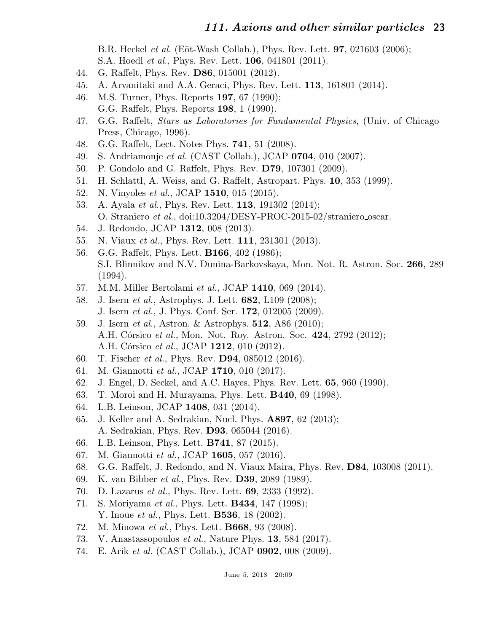B.R. Heckel *et al.* (Eöt-Wash Collab.), Phys. Rev. Lett. **97**, 021603 (2006);

- S.A. Hoedl *et al.*, Phys. Rev. Lett. **106**, 041801 (2011).
- 44. G. Raffelt, Phys. Rev. D86, 015001 (2012).
- 45. A. Arvanitaki and A.A. Geraci, Phys. Rev. Lett. 113, 161801 (2014).
- 46. M.S. Turner, Phys. Reports 197, 67 (1990); G.G. Raffelt, Phys. Reports 198, 1 (1990).
- 47. G.G. Raffelt, Stars as Laboratories for Fundamental Physics, (Univ. of Chicago Press, Chicago, 1996).
- 48. G.G. Raffelt, Lect. Notes Phys. 741, 51 (2008).
- 49. S. Andriamonje et al. (CAST Collab.), JCAP 0704, 010 (2007).
- 50. P. Gondolo and G. Raffelt, Phys. Rev. D79, 107301 (2009).
- 51. H. Schlattl, A. Weiss, and G. Raffelt, Astropart. Phys. 10, 353 (1999).
- 52. N. Vinyoles et al., JCAP 1510, 015 (2015).
- 53. A. Ayala et al., Phys. Rev. Lett. 113, 191302 (2014); O. Straniero et al., doi:10.3204/DESY-PROC-2015-02/straniero oscar.
- 54. J. Redondo, JCAP 1312, 008 (2013).
- 55. N. Viaux *et al.*, Phys. Rev. Lett. **111**, 231301 (2013).
- 56. G.G. Raffelt, Phys. Lett. B166, 402 (1986); S.I. Blinnikov and N.V. Dunina-Barkovskaya, Mon. Not. R. Astron. Soc. 266, 289 (1994).
- 57. M.M. Miller Bertolami *et al.*, JCAP 1410, 069 (2014).
- 58. J. Isern et al., Astrophys. J. Lett. 682, L109 (2008); J. Isern et al., J. Phys. Conf. Ser. 172, 012005 (2009).
- 59. J. Isern et al., Astron. & Astrophys. 512, A86 (2010); A.H. Córsico et al., Mon. Not. Roy. Astron. Soc. 424, 2792 (2012); A.H. Córsico et al., JCAP 1212, 010 (2012).
- 60. T. Fischer et al., Phys. Rev. D94, 085012 (2016).
- 61. M. Giannotti et al., JCAP 1710, 010 (2017).
- 62. J. Engel, D. Seckel, and A.C. Hayes, Phys. Rev. Lett. 65, 960 (1990).
- 63. T. Moroi and H. Murayama, Phys. Lett. B440, 69 (1998).
- 64. L.B. Leinson, JCAP 1408, 031 (2014).
- 65. J. Keller and A. Sedrakian, Nucl. Phys. A897, 62 (2013); A. Sedrakian, Phys. Rev. D93, 065044 (2016).
- 66. L.B. Leinson, Phys. Lett. B741, 87 (2015).
- 67. M. Giannotti et al., JCAP 1605, 057 (2016).
- 68. G.G. Raffelt, J. Redondo, and N. Viaux Maira, Phys. Rev. D84, 103008 (2011).
- 69. K. van Bibber et al., Phys. Rev. D39, 2089 (1989).
- 70. D. Lazarus et al., Phys. Rev. Lett. 69, 2333 (1992).
- 71. S. Moriyama *et al.*, Phys. Lett. **B434**, 147 (1998); Y. Inoue *et al.*, Phys. Lett. **B536**, 18 (2002).
- 72. M. Minowa et al., Phys. Lett. B668, 93 (2008).
- 73. V. Anastassopoulos et al., Nature Phys. 13, 584 (2017).
- 74. E. Arik et al. (CAST Collab.), JCAP 0902, 008 (2009).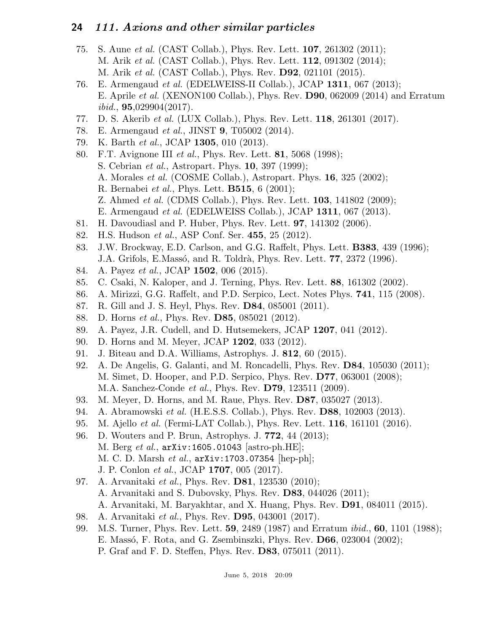- 75. S. Aune et al. (CAST Collab.), Phys. Rev. Lett. 107, 261302 (2011); M. Arik *et al.* (CAST Collab.), Phys. Rev. Lett. **112**, 091302 (2014); M. Arik et al. (CAST Collab.), Phys. Rev. D92, 021101 (2015).
- 76. E. Armengaud et al. (EDELWEISS-II Collab.), JCAP 1311, 067 (2013); E. Aprile et al. (XENON100 Collab.), Phys. Rev. D90, 062009 (2014) and Erratum  $ibid., 95,029904(2017).$
- 77. D. S. Akerib et al. (LUX Collab.), Phys. Rev. Lett. 118, 261301 (2017).
- 78. E. Armengaud et al., JINST 9, T05002 (2014).
- 79. K. Barth et al., JCAP 1305, 010 (2013).
- 80. F.T. Avignone III et al., Phys. Rev. Lett. 81, 5068 (1998); S. Cebrian et al., Astropart. Phys. 10, 397 (1999);
	- A. Morales et al. (COSME Collab.), Astropart. Phys. 16, 325 (2002);
	- R. Bernabei et al., Phys. Lett. B515, 6 (2001);
	- Z. Ahmed *et al.* (CDMS Collab.), Phys. Rev. Lett. **103**, 141802 (2009);
	- E. Armengaud et al. (EDELWEISS Collab.), JCAP 1311, 067 (2013).
- 81. H. Davoudiasl and P. Huber, Phys. Rev. Lett. 97, 141302 (2006).
- 82. H.S. Hudson et al., ASP Conf. Ser. 455, 25 (2012).
- 83. J.W. Brockway, E.D. Carlson, and G.G. Raffelt, Phys. Lett. B383, 439 (1996); J.A. Grifols, E.Massó, and R. Toldrà, Phys. Rev. Lett. **77**, 2372 (1996).
- 84. A. Payez *et al.*, JCAP **1502**, 006 (2015).
- 85. C. Csaki, N. Kaloper, and J. Terning, Phys. Rev. Lett. 88, 161302 (2002).
- 86. A. Mirizzi, G.G. Raffelt, and P.D. Serpico, Lect. Notes Phys. 741, 115 (2008).
- 87. R. Gill and J. S. Heyl, Phys. Rev. D84, 085001 (2011).
- 88. D. Horns et al., Phys. Rev. D85, 085021 (2012).
- 89. A. Payez, J.R. Cudell, and D. Hutsemekers, JCAP 1207, 041 (2012).
- 90. D. Horns and M. Meyer, JCAP 1202, 033 (2012).
- 91. J. Biteau and D.A. Williams, Astrophys. J. 812, 60 (2015).
- 92. A. De Angelis, G. Galanti, and M. Roncadelli, Phys. Rev. D84, 105030 (2011); M. Simet, D. Hooper, and P.D. Serpico, Phys. Rev. D77, 063001 (2008); M.A. Sanchez-Conde et al., Phys. Rev. D79, 123511 (2009).
- 93. M. Meyer, D. Horns, and M. Raue, Phys. Rev. D87, 035027 (2013).
- 94. A. Abramowski et al. (H.E.S.S. Collab.), Phys. Rev. D88, 102003 (2013).
- 95. M. Ajello *et al.* (Fermi-LAT Collab.), Phys. Rev. Lett. **116**, 161101 (2016).
- 96. D. Wouters and P. Brun, Astrophys. J. 772, 44 (2013); M. Berg et al., arXiv:1605.01043 [astro-ph.HE]; M. C. D. Marsh et al.,  $arXiv:1703.07354$  |hep-ph|; J. P. Conlon et al., JCAP 1707, 005 (2017).
- 97. A. Arvanitaki et al., Phys. Rev. D81, 123530 (2010); A. Arvanitaki and S. Dubovsky, Phys. Rev. D83, 044026 (2011); A. Arvanitaki, M. Baryakhtar, and X. Huang, Phys. Rev. D91, 084011 (2015).
- 98. A. Arvanitaki et al., Phys. Rev. D95, 043001 (2017).
- 99. M.S. Turner, Phys. Rev. Lett. 59, 2489 (1987) and Erratum ibid., 60, 1101 (1988); E. Massó, F. Rota, and G. Zsembinszki, Phys. Rev. **D66**, 023004 (2002); P. Graf and F. D. Steffen, Phys. Rev. D83, 075011 (2011).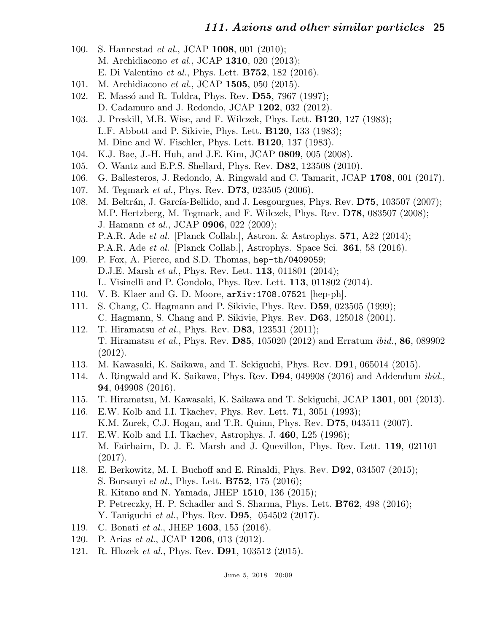- 100. S. Hannestad et al., JCAP 1008, 001 (2010); M. Archidiacono et al., JCAP 1310, 020 (2013); E. Di Valentino et al., Phys. Lett. B752, 182 (2016).
- 101. M. Archidiacono et al., JCAP 1505, 050 (2015).
- 102. E. Massó and R. Toldra, Phys. Rev. D55, 7967 (1997); D. Cadamuro and J. Redondo, JCAP 1202, 032 (2012).
- 103. J. Preskill, M.B. Wise, and F. Wilczek, Phys. Lett. B120, 127 (1983); L.F. Abbott and P. Sikivie, Phys. Lett. B120, 133 (1983); M. Dine and W. Fischler, Phys. Lett. B120, 137 (1983).
- 104. K.J. Bae, J.-H. Huh, and J.E. Kim, JCAP 0809, 005 (2008).
- 105. O. Wantz and E.P.S. Shellard, Phys. Rev. D82, 123508 (2010).
- 106. G. Ballesteros, J. Redondo, A. Ringwald and C. Tamarit, JCAP 1708, 001 (2017).
- 107. M. Tegmark *et al.*, Phys. Rev. **D73**, 023505 (2006).
- 108. M. Beltrán, J. García-Bellido, and J. Lesgourgues, Phys. Rev. D75, 103507 (2007); M.P. Hertzberg, M. Tegmark, and F. Wilczek, Phys. Rev. D78, 083507 (2008); J. Hamann et al., JCAP 0906, 022 (2009); P.A.R. Ade et al. [Planck Collab.], Astron. & Astrophys. 571, A22 (2014); P.A.R. Ade et al. [Planck Collab.], Astrophys. Space Sci. 361, 58 (2016).
- 109. P. Fox, A. Pierce, and S.D. Thomas, hep-th/0409059; D.J.E. Marsh et al., Phys. Rev. Lett. 113, 011801 (2014); L. Visinelli and P. Gondolo, Phys. Rev. Lett. 113, 011802 (2014).
- 110. V. B. Klaer and G. D. Moore, arXiv:1708.07521 [hep-ph].
- 111. S. Chang, C. Hagmann and P. Sikivie, Phys. Rev. D59, 023505 (1999); C. Hagmann, S. Chang and P. Sikivie, Phys. Rev. D63, 125018 (2001).
- 112. T. Hiramatsu et al., Phys. Rev. D83, 123531 (2011); T. Hiramatsu et al., Phys. Rev. D85, 105020 (2012) and Erratum ibid., 86, 089902 (2012).
- 113. M. Kawasaki, K. Saikawa, and T. Sekiguchi, Phys. Rev. D91, 065014 (2015).
- 114. A. Ringwald and K. Saikawa, Phys. Rev. D94, 049908 (2016) and Addendum ibid., 94, 049908 (2016).
- 115. T. Hiramatsu, M. Kawasaki, K. Saikawa and T. Sekiguchi, JCAP 1301, 001 (2013).
- 116. E.W. Kolb and I.I. Tkachev, Phys. Rev. Lett. 71, 3051 (1993); K.M. Zurek, C.J. Hogan, and T.R. Quinn, Phys. Rev. D75, 043511 (2007).
- 117. E.W. Kolb and I.I. Tkachev, Astrophys. J. 460, L25 (1996); M. Fairbairn, D. J. E. Marsh and J. Quevillon, Phys. Rev. Lett. 119, 021101 (2017).
- 118. E. Berkowitz, M. I. Buchoff and E. Rinaldi, Phys. Rev. D92, 034507 (2015); S. Borsanyi et al., Phys. Lett. B752, 175 (2016); R. Kitano and N. Yamada, JHEP 1510, 136 (2015);
	- P. Petreczky, H. P. Schadler and S. Sharma, Phys. Lett. B762, 498 (2016);
	- Y. Taniguchi *et al.*, Phys. Rev. **D95**, 054502 (2017).
- 119. C. Bonati et al., JHEP 1603, 155 (2016).
- 120. P. Arias et al., JCAP 1206, 013 (2012).
- 121. R. Hlozek *et al.*, Phys. Rev. **D91**, 103512 (2015).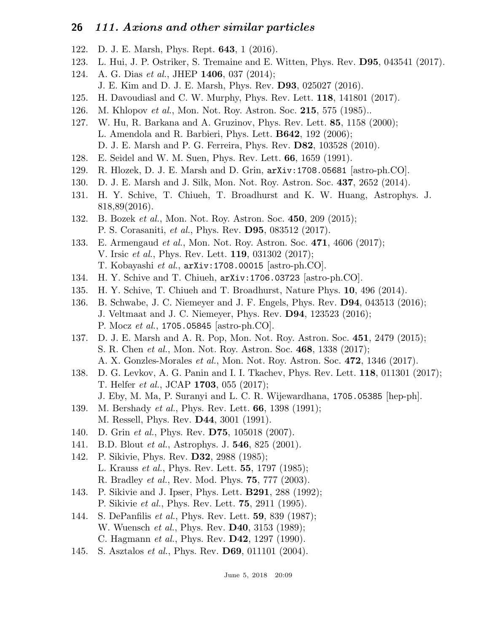- 122. D. J. E. Marsh, Phys. Rept. 643, 1 (2016).
- 123. L. Hui, J. P. Ostriker, S. Tremaine and E. Witten, Phys. Rev. D95, 043541 (2017).
- 124. A. G. Dias et al., JHEP 1406, 037 (2014); J. E. Kim and D. J. E. Marsh, Phys. Rev. D93, 025027 (2016).
- 125. H. Davoudiasl and C. W. Murphy, Phys. Rev. Lett. 118, 141801 (2017).
- 126. M. Khlopov et al., Mon. Not. Roy. Astron. Soc. 215, 575 (1985)..
- 127. W. Hu, R. Barkana and A. Gruzinov, Phys. Rev. Lett. 85, 1158 (2000); L. Amendola and R. Barbieri, Phys. Lett. B642, 192 (2006); D. J. E. Marsh and P. G. Ferreira, Phys. Rev. D82, 103528 (2010).
- 128. E. Seidel and W. M. Suen, Phys. Rev. Lett. 66, 1659 (1991).
- 129. R. Hlozek, D. J. E. Marsh and D. Grin, arXiv:1708.05681 [astro-ph.CO].
- 130. D. J. E. Marsh and J. Silk, Mon. Not. Roy. Astron. Soc. 437, 2652 (2014).
- 131. H. Y. Schive, T. Chiueh, T. Broadhurst and K. W. Huang, Astrophys. J. 818,89(2016).
- 132. B. Bozek *et al.*, Mon. Not. Roy. Astron. Soc. 450, 209 (2015); P. S. Corasaniti, et al., Phys. Rev. D95, 083512 (2017).
- 133. E. Armengaud *et al.*, Mon. Not. Roy. Astron. Soc. 471, 4606 (2017); V. Irsic et al., Phys. Rev. Lett. 119, 031302 (2017); T. Kobayashi et al., arXiv:1708.00015 [astro-ph.CO].
- 134. H. Y. Schive and T. Chiueh, arXiv:1706.03723 [astro-ph.CO].
- 135. H. Y. Schive, T. Chiueh and T. Broadhurst, Nature Phys. 10, 496 (2014).
- 136. B. Schwabe, J. C. Niemeyer and J. F. Engels, Phys. Rev. D94, 043513 (2016); J. Veltmaat and J. C. Niemeyer, Phys. Rev. D94, 123523 (2016); P. Mocz et al., 1705.05845 [astro-ph.CO].
- 137. D. J. E. Marsh and A. R. Pop, Mon. Not. Roy. Astron. Soc. 451, 2479 (2015); S. R. Chen et al., Mon. Not. Roy. Astron. Soc. 468, 1338 (2017); A. X. Gonzles-Morales et al., Mon. Not. Roy. Astron. Soc. 472, 1346 (2017).
- 138. D. G. Levkov, A. G. Panin and I. I. Tkachev, Phys. Rev. Lett. 118, 011301 (2017); T. Helfer et al., JCAP 1703, 055 (2017); J. Eby, M. Ma, P. Suranyi and L. C. R. Wijewardhana, 1705.05385 [hep-ph].
- 139. M. Bershady *et al.*, Phys. Rev. Lett. **66**, 1398 (1991); M. Ressell, Phys. Rev. D44, 3001 (1991).
- 140. D. Grin *et al.*, Phys. Rev. **D75**, 105018 (2007).
- 141. B.D. Blout *et al.*, Astrophys. J. **546**, 825 (2001).
- 142. P. Sikivie, Phys. Rev. D32, 2988 (1985); L. Krauss *et al.*, Phys. Rev. Lett. **55**, 1797 (1985); R. Bradley et al., Rev. Mod. Phys. 75, 777 (2003).
- 143. P. Sikivie and J. Ipser, Phys. Lett. B291, 288 (1992); P. Sikivie et al., Phys. Rev. Lett. 75, 2911 (1995).
- 144. S. DePanfilis et al., Phys. Rev. Lett. 59, 839 (1987); W. Wuensch *et al.*, Phys. Rev. **D40**, 3153 (1989); C. Hagmann et al., Phys. Rev. D42, 1297 (1990).
- 145. S. Asztalos *et al.*, Phys. Rev. **D69**, 011101 (2004).